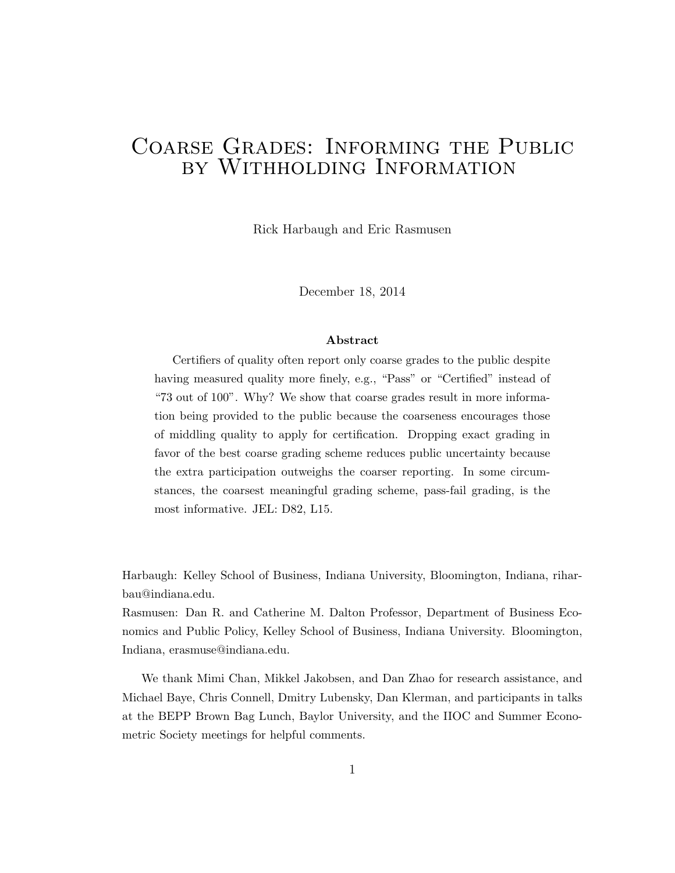# Coarse Grades: Informing the Public by Withholding Information

Rick Harbaugh and Eric Rasmusen

December 18, 2014

#### Abstract

Certifiers of quality often report only coarse grades to the public despite having measured quality more finely, e.g., "Pass" or "Certified" instead of "73 out of 100". Why? We show that coarse grades result in more information being provided to the public because the coarseness encourages those of middling quality to apply for certification. Dropping exact grading in favor of the best coarse grading scheme reduces public uncertainty because the extra participation outweighs the coarser reporting. In some circumstances, the coarsest meaningful grading scheme, pass-fail grading, is the most informative. JEL: D82, L15.

Harbaugh: Kelley School of Business, Indiana University, Bloomington, Indiana, riharbau@indiana.edu.

Rasmusen: Dan R. and Catherine M. Dalton Professor, Department of Business Economics and Public Policy, Kelley School of Business, Indiana University. Bloomington, Indiana, erasmuse@indiana.edu.

We thank Mimi Chan, Mikkel Jakobsen, and Dan Zhao for research assistance, and Michael Baye, Chris Connell, Dmitry Lubensky, Dan Klerman, and participants in talks at the BEPP Brown Bag Lunch, Baylor University, and the IIOC and Summer Econometric Society meetings for helpful comments.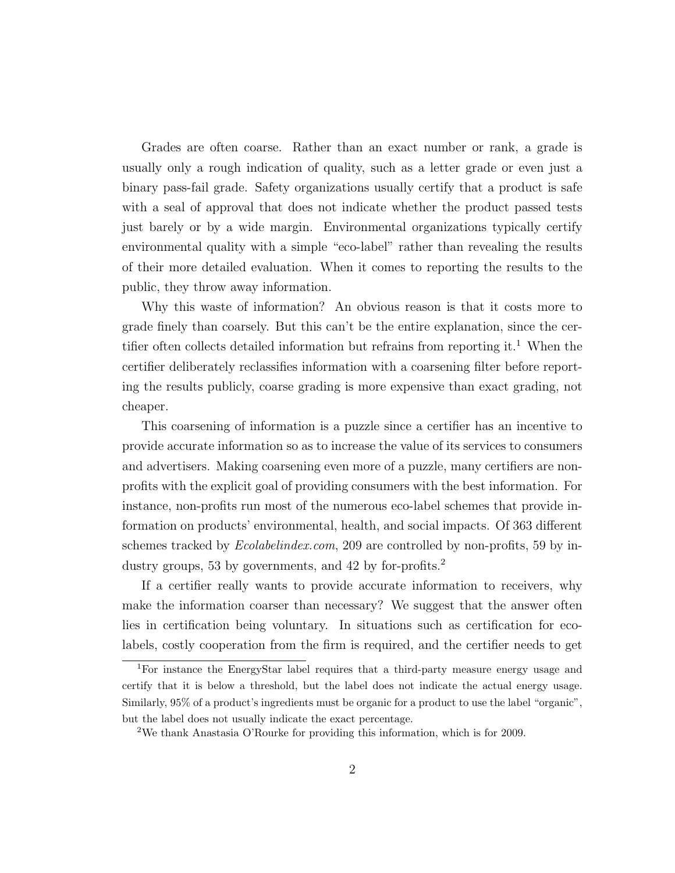Grades are often coarse. Rather than an exact number or rank, a grade is usually only a rough indication of quality, such as a letter grade or even just a binary pass-fail grade. Safety organizations usually certify that a product is safe with a seal of approval that does not indicate whether the product passed tests just barely or by a wide margin. Environmental organizations typically certify environmental quality with a simple "eco-label" rather than revealing the results of their more detailed evaluation. When it comes to reporting the results to the public, they throw away information.

Why this waste of information? An obvious reason is that it costs more to grade finely than coarsely. But this can't be the entire explanation, since the certifier often collects detailed information but refrains from reporting it.<sup>1</sup> When the certifier deliberately reclassifies information with a coarsening filter before reporting the results publicly, coarse grading is more expensive than exact grading, not cheaper.

This coarsening of information is a puzzle since a certifier has an incentive to provide accurate information so as to increase the value of its services to consumers and advertisers. Making coarsening even more of a puzzle, many certifiers are nonprofits with the explicit goal of providing consumers with the best information. For instance, non-profits run most of the numerous eco-label schemes that provide information on products' environmental, health, and social impacts. Of 363 different schemes tracked by *Ecolabelindex.com*, 209 are controlled by non-profits, 59 by industry groups, 53 by governments, and 42 by for-profits.<sup>2</sup>

If a certifier really wants to provide accurate information to receivers, why make the information coarser than necessary? We suggest that the answer often lies in certification being voluntary. In situations such as certification for ecolabels, costly cooperation from the firm is required, and the certifier needs to get

<sup>1</sup>For instance the EnergyStar label requires that a third-party measure energy usage and certify that it is below a threshold, but the label does not indicate the actual energy usage. Similarly, 95% of a product's ingredients must be organic for a product to use the label "organic", but the label does not usually indicate the exact percentage.

<sup>2</sup>We thank Anastasia O'Rourke for providing this information, which is for 2009.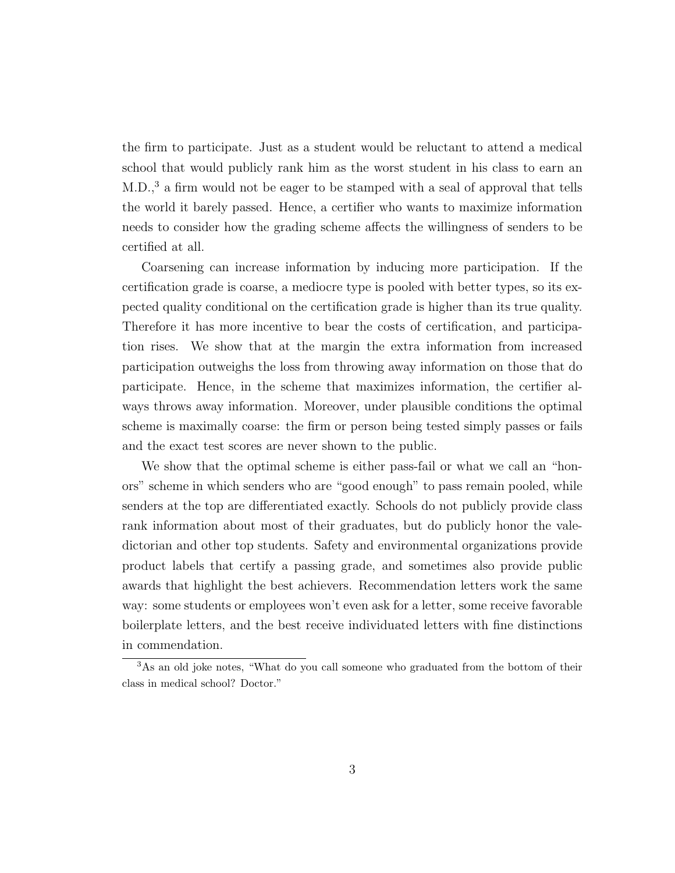the firm to participate. Just as a student would be reluctant to attend a medical school that would publicly rank him as the worst student in his class to earn an M.D.,<sup>3</sup> a firm would not be eager to be stamped with a seal of approval that tells the world it barely passed. Hence, a certifier who wants to maximize information needs to consider how the grading scheme affects the willingness of senders to be certified at all.

Coarsening can increase information by inducing more participation. If the certification grade is coarse, a mediocre type is pooled with better types, so its expected quality conditional on the certification grade is higher than its true quality. Therefore it has more incentive to bear the costs of certification, and participation rises. We show that at the margin the extra information from increased participation outweighs the loss from throwing away information on those that do participate. Hence, in the scheme that maximizes information, the certifier always throws away information. Moreover, under plausible conditions the optimal scheme is maximally coarse: the firm or person being tested simply passes or fails and the exact test scores are never shown to the public.

We show that the optimal scheme is either pass-fail or what we call an "honors" scheme in which senders who are "good enough" to pass remain pooled, while senders at the top are differentiated exactly. Schools do not publicly provide class rank information about most of their graduates, but do publicly honor the valedictorian and other top students. Safety and environmental organizations provide product labels that certify a passing grade, and sometimes also provide public awards that highlight the best achievers. Recommendation letters work the same way: some students or employees won't even ask for a letter, some receive favorable boilerplate letters, and the best receive individuated letters with fine distinctions in commendation.

<sup>3</sup>As an old joke notes, "What do you call someone who graduated from the bottom of their class in medical school? Doctor."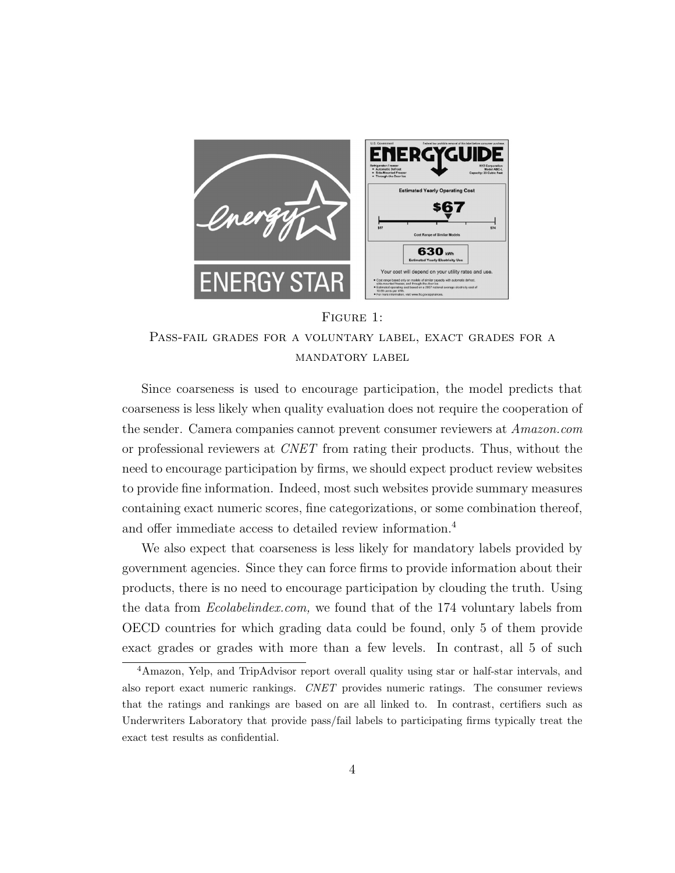

#### Figure 1:

Pass-fail grades for a voluntary label, exact grades for a mandatory label

Since coarseness is used to encourage participation, the model predicts that coarseness is less likely when quality evaluation does not require the cooperation of the sender. Camera companies cannot prevent consumer reviewers at Amazon.com or professional reviewers at CNET from rating their products. Thus, without the need to encourage participation by firms, we should expect product review websites to provide fine information. Indeed, most such websites provide summary measures containing exact numeric scores, fine categorizations, or some combination thereof, and offer immediate access to detailed review information.<sup>4</sup>

We also expect that coarseness is less likely for mandatory labels provided by government agencies. Since they can force firms to provide information about their products, there is no need to encourage participation by clouding the truth. Using the data from Ecolabelindex.com, we found that of the 174 voluntary labels from OECD countries for which grading data could be found, only 5 of them provide exact grades or grades with more than a few levels. In contrast, all 5 of such

<sup>4</sup>Amazon, Yelp, and TripAdvisor report overall quality using star or half-star intervals, and also report exact numeric rankings. CNET provides numeric ratings. The consumer reviews that the ratings and rankings are based on are all linked to. In contrast, certifiers such as Underwriters Laboratory that provide pass/fail labels to participating firms typically treat the exact test results as confidential.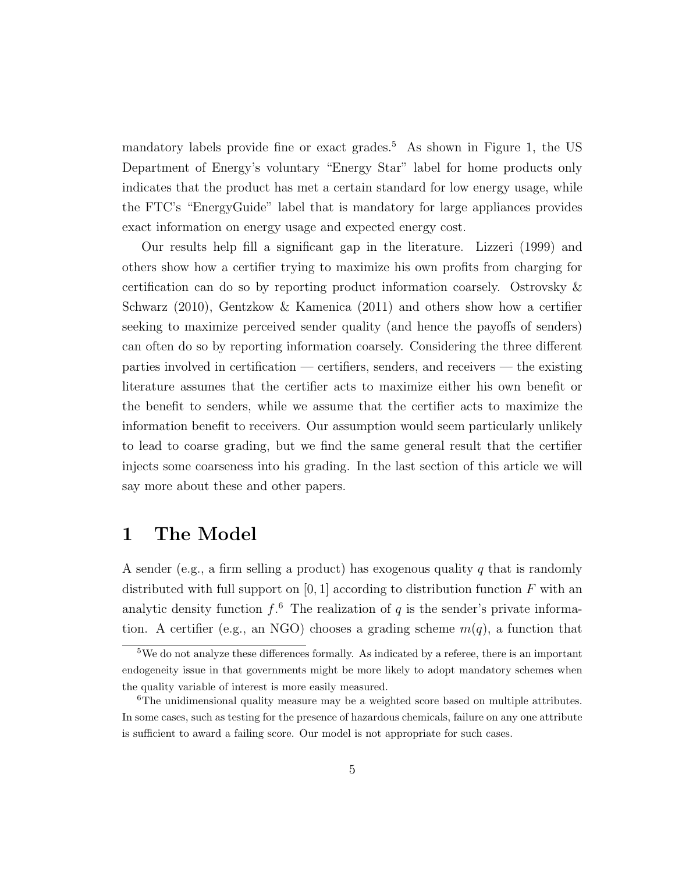mandatory labels provide fine or exact grades.<sup>5</sup> As shown in Figure 1, the US Department of Energy's voluntary "Energy Star" label for home products only indicates that the product has met a certain standard for low energy usage, while the FTC's "EnergyGuide" label that is mandatory for large appliances provides exact information on energy usage and expected energy cost.

Our results help fill a significant gap in the literature. Lizzeri (1999) and others show how a certifier trying to maximize his own profits from charging for certification can do so by reporting product information coarsely. Ostrovsky & Schwarz (2010), Gentzkow & Kamenica (2011) and others show how a certifier seeking to maximize perceived sender quality (and hence the payoffs of senders) can often do so by reporting information coarsely. Considering the three different parties involved in certification — certifiers, senders, and receivers — the existing literature assumes that the certifier acts to maximize either his own benefit or the benefit to senders, while we assume that the certifier acts to maximize the information benefit to receivers. Our assumption would seem particularly unlikely to lead to coarse grading, but we find the same general result that the certifier injects some coarseness into his grading. In the last section of this article we will say more about these and other papers.

## 1 The Model

A sender (e.g., a firm selling a product) has exogenous quality q that is randomly distributed with full support on  $[0, 1]$  according to distribution function  $F$  with an analytic density function  $f^6$ . The realization of q is the sender's private information. A certifier (e.g., an NGO) chooses a grading scheme  $m(q)$ , a function that

<sup>5</sup>We do not analyze these differences formally. As indicated by a referee, there is an important endogeneity issue in that governments might be more likely to adopt mandatory schemes when the quality variable of interest is more easily measured.

 $6$ The unidimensional quality measure may be a weighted score based on multiple attributes. In some cases, such as testing for the presence of hazardous chemicals, failure on any one attribute is sufficient to award a failing score. Our model is not appropriate for such cases.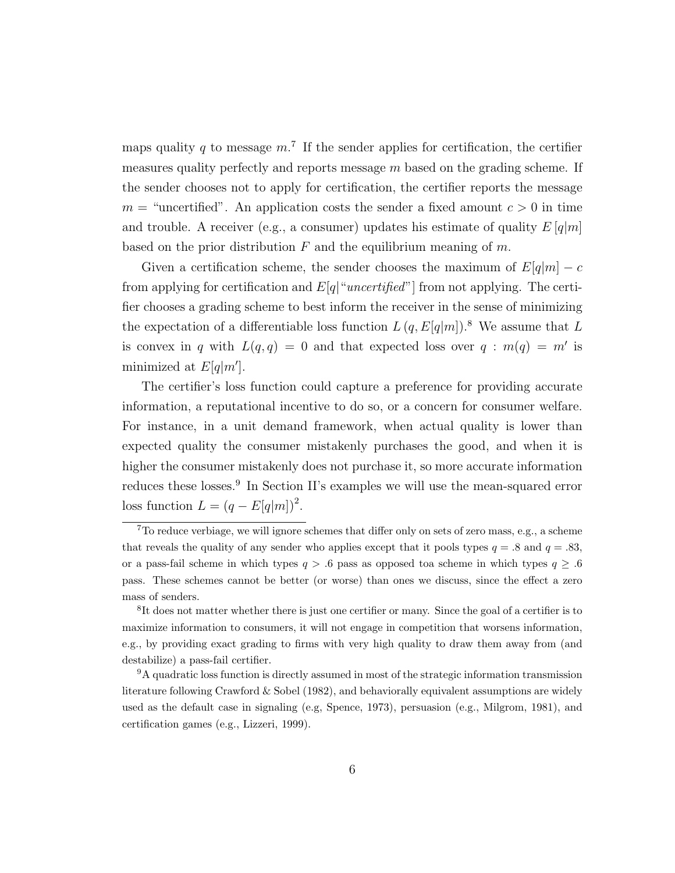maps quality q to message  $m<sup>7</sup>$ . If the sender applies for certification, the certifier measures quality perfectly and reports message  $m$  based on the grading scheme. If the sender chooses not to apply for certification, the certifier reports the message  $m =$  "uncertified". An application costs the sender a fixed amount  $c > 0$  in time and trouble. A receiver (e.g., a consumer) updates his estimate of quality  $E[q|m]$ based on the prior distribution  $F$  and the equilibrium meaning of  $m$ .

Given a certification scheme, the sender chooses the maximum of  $E[q|m] - c$ from applying for certification and  $E[q]'$  *uncertified*" from not applying. The certifier chooses a grading scheme to best inform the receiver in the sense of minimizing the expectation of a differentiable loss function  $L (q, E[q|m])$ .<sup>8</sup> We assume that L is convex in q with  $L(q,q) = 0$  and that expected loss over  $q : m(q) = m'$  is minimized at  $E[q|m']$ .

The certifier's loss function could capture a preference for providing accurate information, a reputational incentive to do so, or a concern for consumer welfare. For instance, in a unit demand framework, when actual quality is lower than expected quality the consumer mistakenly purchases the good, and when it is higher the consumer mistakenly does not purchase it, so more accurate information reduces these losses.<sup>9</sup> In Section II's examples we will use the mean-squared error loss function  $L = (q - E[q|m])^2$ .

<sup>7</sup>To reduce verbiage, we will ignore schemes that differ only on sets of zero mass, e.g., a scheme that reveals the quality of any sender who applies except that it pools types  $q = .8$  and  $q = .83$ . or a pass-fail scheme in which types  $q > .6$  pass as opposed to a scheme in which types  $q \geq .6$ pass. These schemes cannot be better (or worse) than ones we discuss, since the effect a zero mass of senders.

<sup>&</sup>lt;sup>8</sup>It does not matter whether there is just one certifier or many. Since the goal of a certifier is to maximize information to consumers, it will not engage in competition that worsens information, e.g., by providing exact grading to firms with very high quality to draw them away from (and destabilize) a pass-fail certifier.

<sup>&</sup>lt;sup>9</sup>A quadratic loss function is directly assumed in most of the strategic information transmission literature following Crawford  $\&$  Sobel (1982), and behaviorally equivalent assumptions are widely used as the default case in signaling (e.g, Spence, 1973), persuasion (e.g., Milgrom, 1981), and certification games (e.g., Lizzeri, 1999).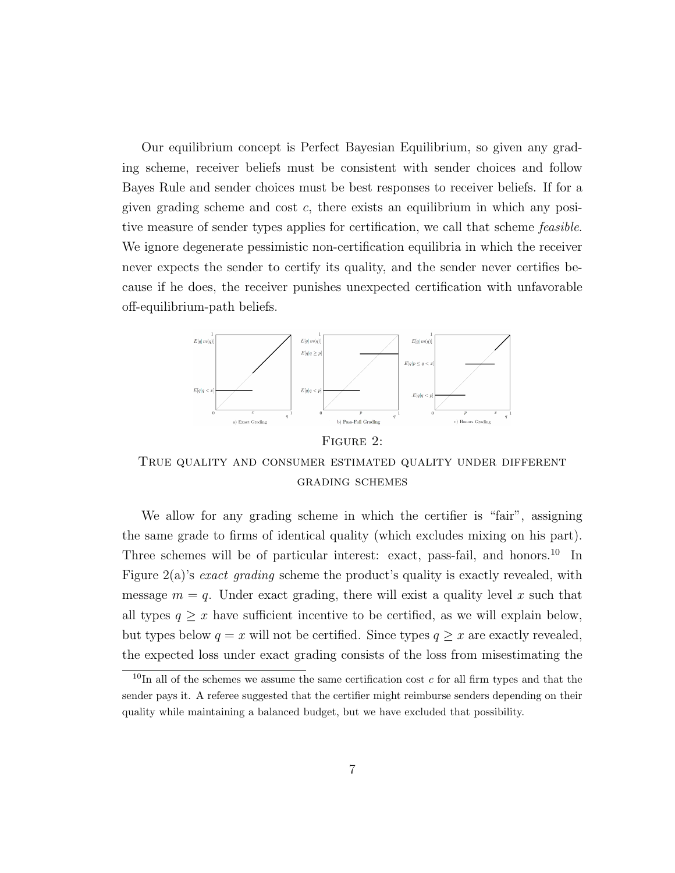Our equilibrium concept is Perfect Bayesian Equilibrium, so given any grading scheme, receiver beliefs must be consistent with sender choices and follow Bayes Rule and sender choices must be best responses to receiver beliefs. If for a given grading scheme and cost c, there exists an equilibrium in which any positive measure of sender types applies for certification, we call that scheme feasible. We ignore degenerate pessimistic non-certification equilibria in which the receiver never expects the sender to certify its quality, and the sender never certifies because if he does, the receiver punishes unexpected certification with unfavorable off-equilibrium-path beliefs.



FIGURE 2:

True quality and consumer estimated quality under different grading schemes

We allow for any grading scheme in which the certifier is "fair", assigning the same grade to firms of identical quality (which excludes mixing on his part). Three schemes will be of particular interest: exact, pass-fail, and honors.<sup>10</sup> In Figure 2(a)'s exact grading scheme the product's quality is exactly revealed, with message  $m = q$ . Under exact grading, there will exist a quality level x such that all types  $q \geq x$  have sufficient incentive to be certified, as we will explain below, but types below  $q = x$  will not be certified. Since types  $q \geq x$  are exactly revealed, the expected loss under exact grading consists of the loss from misestimating the

 $10$ In all of the schemes we assume the same certification cost c for all firm types and that the sender pays it. A referee suggested that the certifier might reimburse senders depending on their quality while maintaining a balanced budget, but we have excluded that possibility.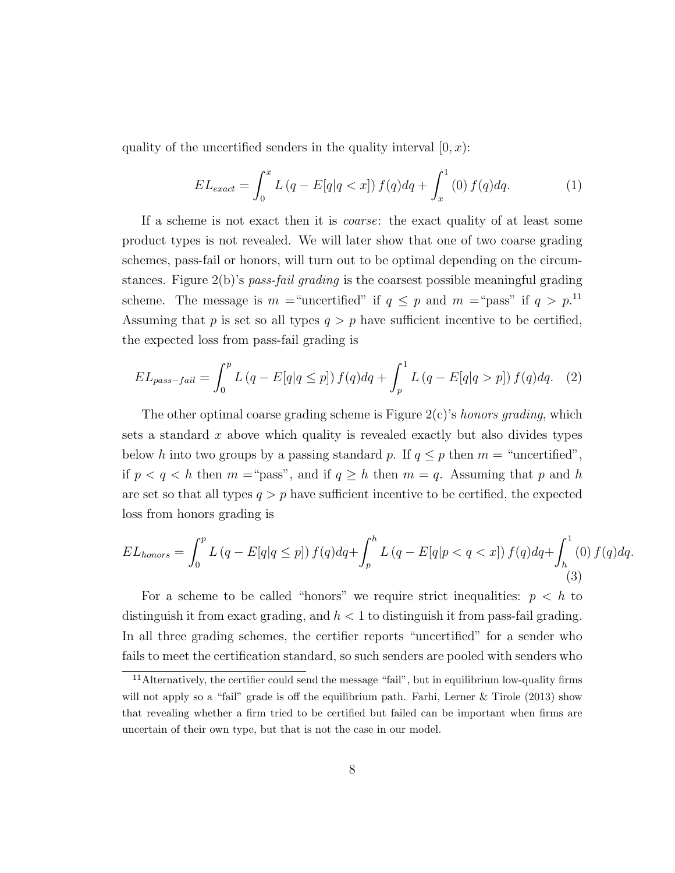quality of the uncertified senders in the quality interval  $[0, x)$ :

$$
EL_{exact} = \int_0^x L(q - E[q|q < x]) f(q) dq + \int_x^1 (0) f(q) dq. \tag{1}
$$

If a scheme is not exact then it is coarse: the exact quality of at least some product types is not revealed. We will later show that one of two coarse grading schemes, pass-fail or honors, will turn out to be optimal depending on the circumstances. Figure 2(b)'s pass-fail grading is the coarsest possible meaningful grading scheme. The message is  $m =$ "uncertified" if  $q \leq p$  and  $m =$ "pass" if  $q > p$ <sup>11</sup> Assuming that p is set so all types  $q > p$  have sufficient incentive to be certified, the expected loss from pass-fail grading is

$$
EL_{pass-fail} = \int_0^p L(q - E[q|q \le p]) f(q) dq + \int_p^1 L(q - E[q|q > p]) f(q) dq. \tag{2}
$$

The other optimal coarse grading scheme is Figure  $2(c)$ 's *honors grading*, which sets a standard  $x$  above which quality is revealed exactly but also divides types below h into two groups by a passing standard p. If  $q \leq p$  then  $m = \text{``uncertified''},$ if  $p < q < h$  then  $m = \text{``pass''},$  and if  $q \geq h$  then  $m = q$ . Assuming that p and h are set so that all types  $q > p$  have sufficient incentive to be certified, the expected loss from honors grading is

$$
EL_{honors} = \int_0^p L(q - E[q|q \le p]) f(q) dq + \int_p^h L(q - E[q|p < q < x]) f(q) dq + \int_h^1(0) f(q) dq.
$$
\n(3)

For a scheme to be called "honors" we require strict inequalities:  $p < h$  to distinguish it from exact grading, and  $h < 1$  to distinguish it from pass-fail grading. In all three grading schemes, the certifier reports "uncertified" for a sender who fails to meet the certification standard, so such senders are pooled with senders who

<sup>&</sup>lt;sup>11</sup>Alternatively, the certifier could send the message "fail", but in equilibrium low-quality firms will not apply so a "fail" grade is off the equilibrium path. Farhi, Lerner & Tirole (2013) show that revealing whether a firm tried to be certified but failed can be important when firms are uncertain of their own type, but that is not the case in our model.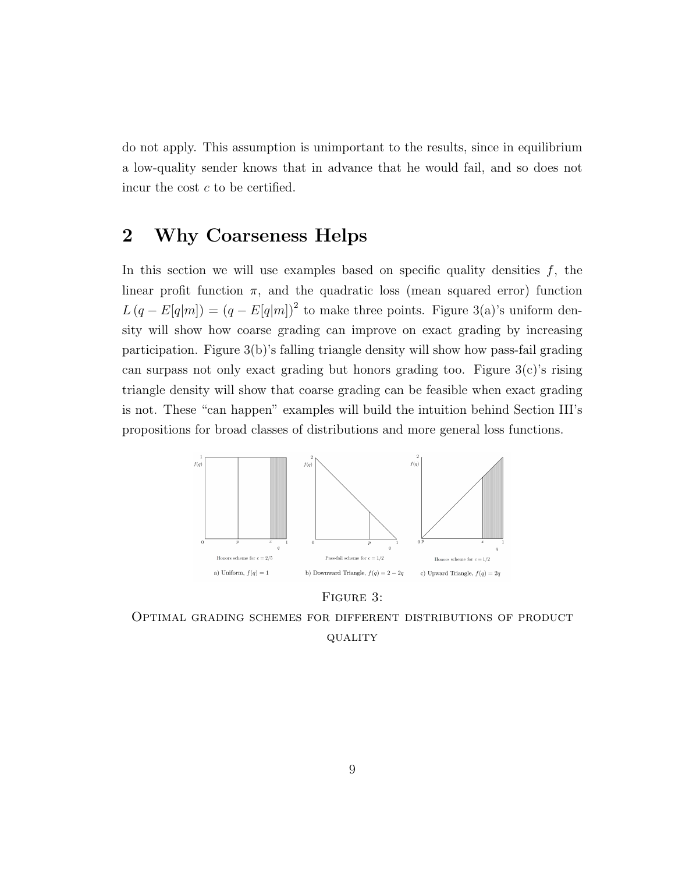do not apply. This assumption is unimportant to the results, since in equilibrium a low-quality sender knows that in advance that he would fail, and so does not incur the cost c to be certified.

## 2 Why Coarseness Helps

In this section we will use examples based on specific quality densities  $f$ , the linear profit function  $\pi$ , and the quadratic loss (mean squared error) function  $L (q - E[q|m]) = (q - E[q|m])^{2}$  to make three points. Figure 3(a)'s uniform density will show how coarse grading can improve on exact grading by increasing participation. Figure 3(b)'s falling triangle density will show how pass-fail grading can surpass not only exact grading but honors grading too. Figure  $3(c)$ 's rising triangle density will show that coarse grading can be feasible when exact grading is not. These "can happen" examples will build the intuition behind Section III's propositions for broad classes of distributions and more general loss functions.



Figure 3:

Optimal grading schemes for different distributions of product QUALITY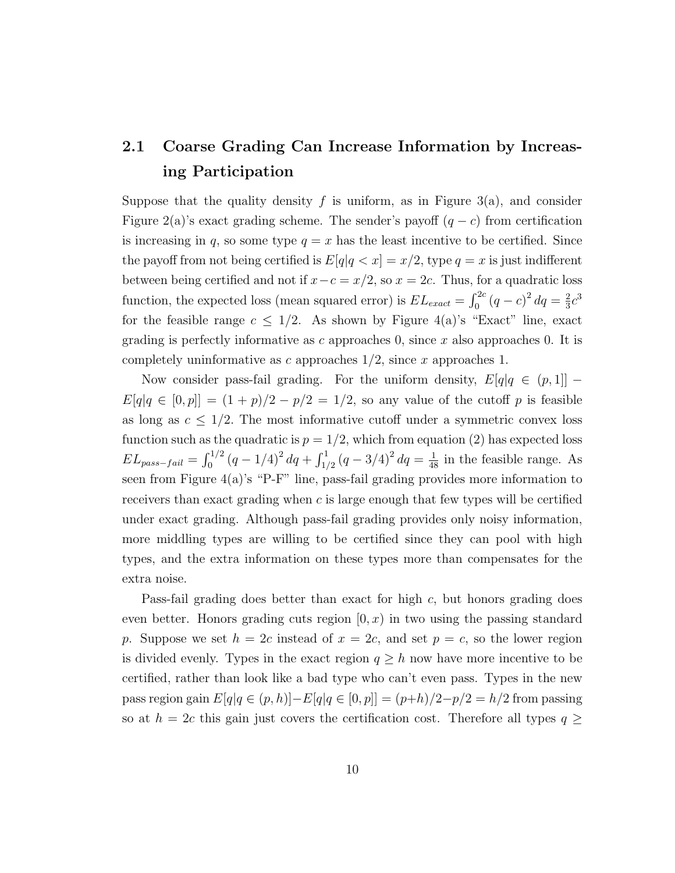## 2.1 Coarse Grading Can Increase Information by Increasing Participation

Suppose that the quality density f is uniform, as in Figure 3(a), and consider Figure 2(a)'s exact grading scheme. The sender's payoff  $(q - c)$  from certification is increasing in q, so some type  $q = x$  has the least incentive to be certified. Since the payoff from not being certified is  $E[q]q < x$  =  $x/2$ , type  $q = x$  is just indifferent between being certified and not if  $x-c = x/2$ , so  $x = 2c$ . Thus, for a quadratic loss function, the expected loss (mean squared error) is  $EL_{exact} = \int_0^{2c} (q - c)^2 dq = \frac{2}{3}$  $rac{2}{3}c^3$ for the feasible range  $c \leq 1/2$ . As shown by Figure 4(a)'s "Exact" line, exact grading is perfectly informative as c approaches 0, since x also approaches 0. It is completely uninformative as c approaches  $1/2$ , since x approaches 1.

Now consider pass-fail grading. For the uniform density,  $E[q]q \in (p, 1]$  –  $E[q|q \in [0,p]] = (1+p)/2 - p/2 = 1/2$ , so any value of the cutoff p is feasible as long as  $c \leq 1/2$ . The most informative cutoff under a symmetric convex loss function such as the quadratic is  $p = 1/2$ , which from equation (2) has expected loss  $EL_{pass-fail} = \int_0^{1/2} (q - 1/4)^2 dq + \int_{1/2}^1 (q - 3/4)^2 dq = \frac{1}{48}$  in the feasible range. As seen from Figure 4(a)'s "P-F" line, pass-fail grading provides more information to receivers than exact grading when c is large enough that few types will be certified under exact grading. Although pass-fail grading provides only noisy information, more middling types are willing to be certified since they can pool with high types, and the extra information on these types more than compensates for the extra noise.

Pass-fail grading does better than exact for high c, but honors grading does even better. Honors grading cuts region  $[0, x)$  in two using the passing standard p. Suppose we set  $h = 2c$  instead of  $x = 2c$ , and set  $p = c$ , so the lower region is divided evenly. Types in the exact region  $q \geq h$  now have more incentive to be certified, rather than look like a bad type who can't even pass. Types in the new pass region gain  $E[q|q \in (p,h)]-E[q|q \in [0,p]] = (p+h)/2-p/2 = h/2$  from passing so at  $h = 2c$  this gain just covers the certification cost. Therefore all types  $q \geq$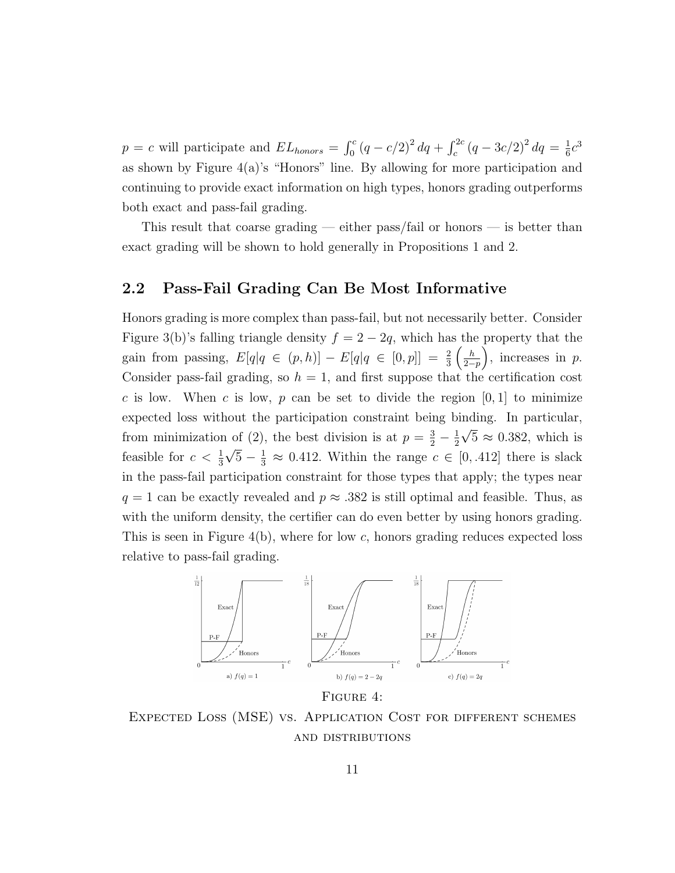$p = c$  will participate and  $EL_{honors} = \int_0^c (q - c/2)^2 dq + \int_c^{2c} (q - 3c/2)^2 dq = \frac{1}{6}$  $\frac{1}{6}c^3$ as shown by Figure  $4(a)$ 's "Honors" line. By allowing for more participation and continuing to provide exact information on high types, honors grading outperforms both exact and pass-fail grading.

This result that coarse grading — either pass/fail or honors — is better than exact grading will be shown to hold generally in Propositions 1 and 2.

### 2.2 Pass-Fail Grading Can Be Most Informative

Honors grading is more complex than pass-fail, but not necessarily better. Consider Figure 3(b)'s falling triangle density  $f = 2 - 2q$ , which has the property that the gain from passing,  $E[q|q \in (p,h)] - E[q|q \in [0,p]] = \frac{2}{3} \left( \frac{h}{2-p} \right)$  $\frac{h}{2-p}$ , increases in p. Consider pass-fail grading, so  $h = 1$ , and first suppose that the certification cost c is low. When c is low, p can be set to divide the region  $[0, 1]$  to minimize expected loss without the participation constraint being binding. In particular, from minimization of (2), the best division is at  $p = \frac{3}{2} - \frac{1}{2}$ 2 √  $5 \approx 0.382$ , which is feasible for  $c < \frac{1}{3}\sqrt{5} - \frac{1}{3} \approx 0.412$ . Within the range  $c \in [0, .412]$  there is slack √ in the pass-fail participation constraint for those types that apply; the types near  $q = 1$  can be exactly revealed and  $p \approx 0.382$  is still optimal and feasible. Thus, as with the uniform density, the certifier can do even better by using honors grading. This is seen in Figure  $4(b)$ , where for low c, honors grading reduces expected loss relative to pass-fail grading.



FIGURE 4:

Expected Loss (MSE) vs. Application Cost for different schemes and distributions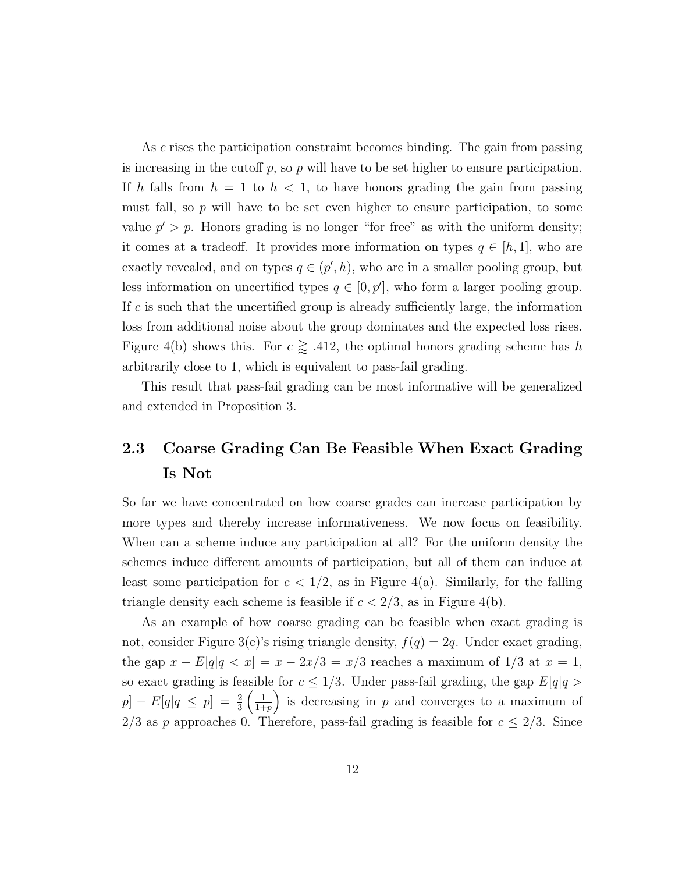As c rises the participation constraint becomes binding. The gain from passing is increasing in the cutoff  $p$ , so  $p$  will have to be set higher to ensure participation. If h falls from  $h = 1$  to  $h < 1$ , to have honors grading the gain from passing must fall, so  $p$  will have to be set even higher to ensure participation, to some value  $p' > p$ . Honors grading is no longer "for free" as with the uniform density; it comes at a tradeoff. It provides more information on types  $q \in [h, 1]$ , who are exactly revealed, and on types  $q \in (p', h)$ , who are in a smaller pooling group, but less information on uncertified types  $q \in [0, p']$ , who form a larger pooling group. If  $c$  is such that the uncertified group is already sufficiently large, the information loss from additional noise about the group dominates and the expected loss rises. Figure 4(b) shows this. For  $c \gtrapprox .412$ , the optimal honors grading scheme has h arbitrarily close to 1, which is equivalent to pass-fail grading.

This result that pass-fail grading can be most informative will be generalized and extended in Proposition 3.

## 2.3 Coarse Grading Can Be Feasible When Exact Grading Is Not

So far we have concentrated on how coarse grades can increase participation by more types and thereby increase informativeness. We now focus on feasibility. When can a scheme induce any participation at all? For the uniform density the schemes induce different amounts of participation, but all of them can induce at least some participation for  $c < 1/2$ , as in Figure 4(a). Similarly, for the falling triangle density each scheme is feasible if  $c < 2/3$ , as in Figure 4(b).

As an example of how coarse grading can be feasible when exact grading is not, consider Figure 3(c)'s rising triangle density,  $f(q) = 2q$ . Under exact grading, the gap  $x - E[q]q < x$ ] =  $x - 2x/3 = x/3$  reaches a maximum of 1/3 at  $x = 1$ , so exact grading is feasible for  $c \leq 1/3$ . Under pass-fail grading, the gap  $E[q]q >$  $[p] - E[q] \leq p$  =  $\frac{2}{3} \left( \frac{1}{1 + p} \right)$  $\frac{1}{1+p}$  is decreasing in p and converges to a maximum of 2/3 as p approaches 0. Therefore, pass-fail grading is feasible for  $c \leq 2/3$ . Since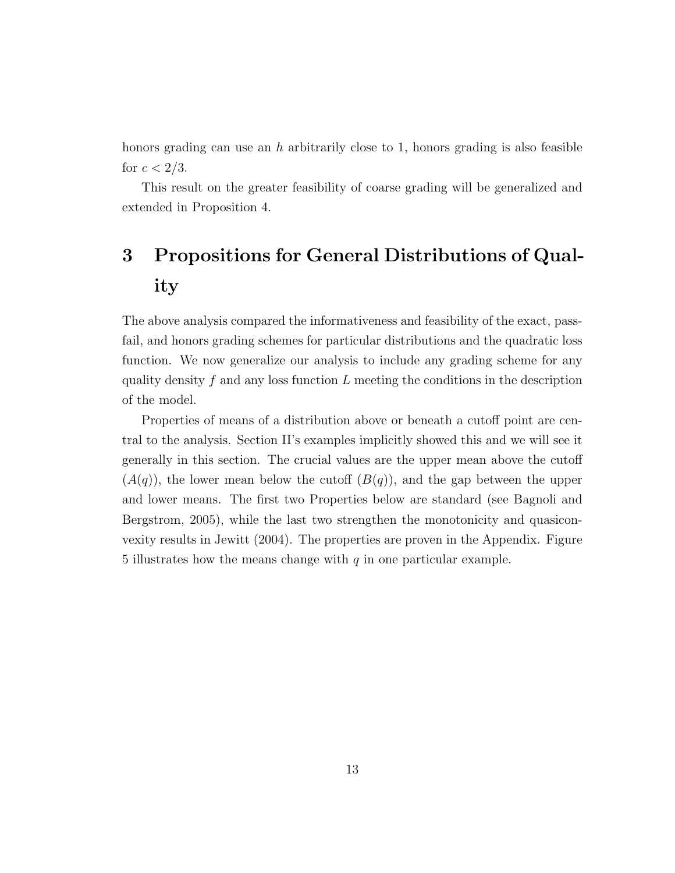honors grading can use an h arbitrarily close to 1, honors grading is also feasible for  $c < 2/3$ .

This result on the greater feasibility of coarse grading will be generalized and extended in Proposition 4.

# 3 Propositions for General Distributions of Quality

The above analysis compared the informativeness and feasibility of the exact, passfail, and honors grading schemes for particular distributions and the quadratic loss function. We now generalize our analysis to include any grading scheme for any quality density  $f$  and any loss function  $L$  meeting the conditions in the description of the model.

Properties of means of a distribution above or beneath a cutoff point are central to the analysis. Section II's examples implicitly showed this and we will see it generally in this section. The crucial values are the upper mean above the cutoff  $(A(q))$ , the lower mean below the cutoff  $(B(q))$ , and the gap between the upper and lower means. The first two Properties below are standard (see Bagnoli and Bergstrom, 2005), while the last two strengthen the monotonicity and quasiconvexity results in Jewitt (2004). The properties are proven in the Appendix. Figure 5 illustrates how the means change with  $q$  in one particular example.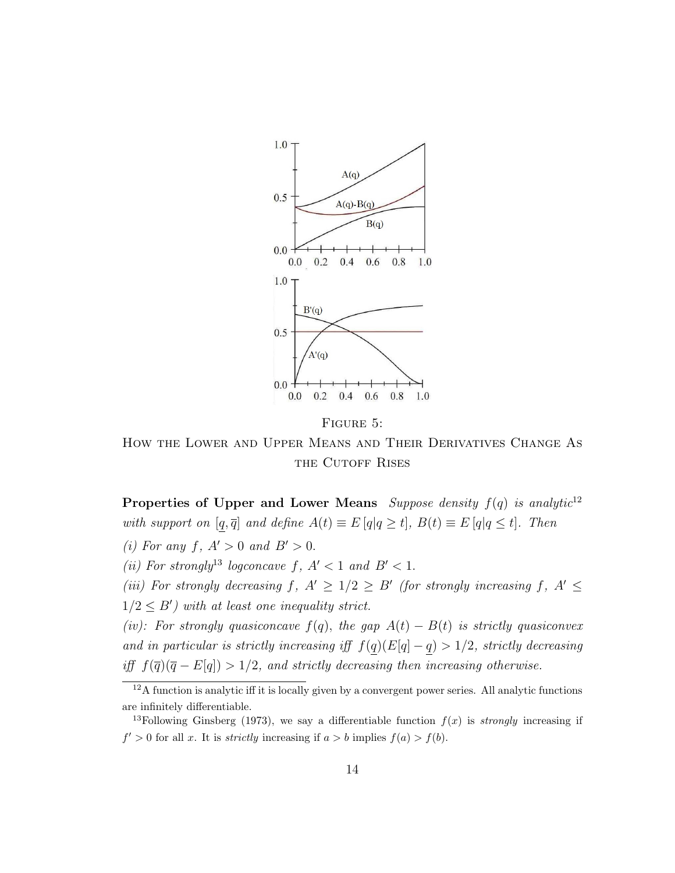

FIGURE 5:

How the Lower and Upper Means and Their Derivatives Change As THE CUTOFF RISES

Properties of Upper and Lower Means Suppose density  $f(q)$  is analytic<sup>12</sup> with support on  $[q, \overline{q}]$  and define  $A(t) \equiv E[q|q \ge t]$ ,  $B(t) \equiv E[q|q \le t]$ . Then

(i) For any f,  $A' > 0$  and  $B' > 0$ .

(ii) For strongly<sup>13</sup> logconcave f,  $A' < 1$  and  $B' < 1$ .

(iii) For strongly decreasing  $f, A' \geq 1/2 \geq B'$  (for strongly increasing f,  $A' \leq$  $1/2 \leq B'$ ) with at least one inequality strict.

(iv): For strongly quasiconcave  $f(q)$ , the gap  $A(t) - B(t)$  is strictly quasiconvex and in particular is strictly increasing iff  $f(q)(E[q] - q) > 1/2$ , strictly decreasing iff  $f(\overline{q})(\overline{q} - E[q]) > 1/2$ , and strictly decreasing then increasing otherwise.

 $12A$  function is analytic iff it is locally given by a convergent power series. All analytic functions are infinitely differentiable.

<sup>&</sup>lt;sup>13</sup>Following Ginsberg (1973), we say a differentiable function  $f(x)$  is *strongly* increasing if  $f' > 0$  for all x. It is *strictly* increasing if  $a > b$  implies  $f(a) > f(b)$ .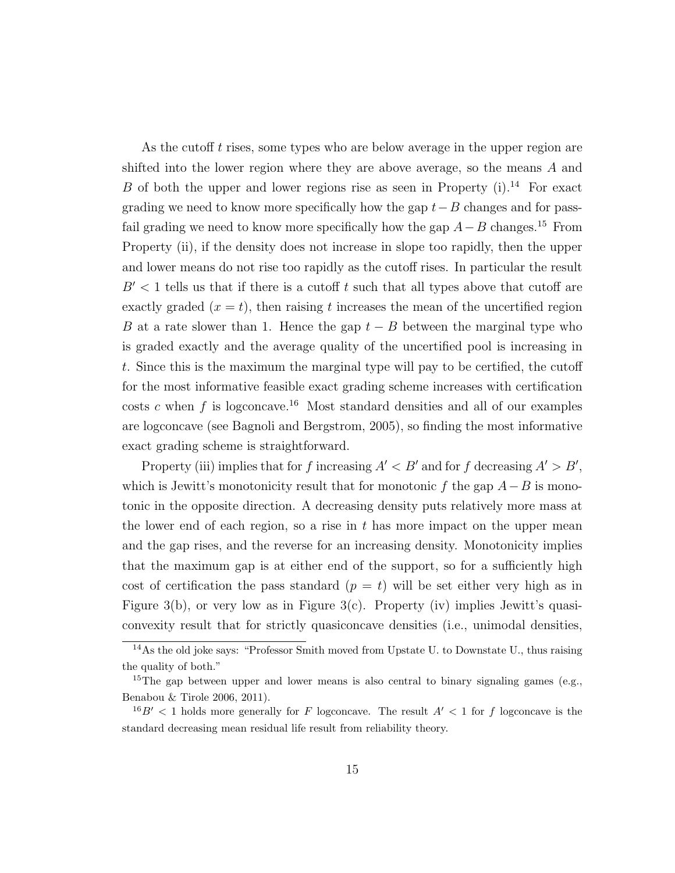As the cutoff t rises, some types who are below average in the upper region are shifted into the lower region where they are above average, so the means A and B of both the upper and lower regions rise as seen in Property  $(i)$ .<sup>14</sup> For exact grading we need to know more specifically how the gap  $t-B$  changes and for passfail grading we need to know more specifically how the gap  $A-B$  changes.<sup>15</sup> From Property (ii), if the density does not increase in slope too rapidly, then the upper and lower means do not rise too rapidly as the cutoff rises. In particular the result  $B' < 1$  tells us that if there is a cutoff t such that all types above that cutoff are exactly graded  $(x = t)$ , then raising t increases the mean of the uncertified region B at a rate slower than 1. Hence the gap  $t - B$  between the marginal type who is graded exactly and the average quality of the uncertified pool is increasing in t. Since this is the maximum the marginal type will pay to be certified, the cutoff for the most informative feasible exact grading scheme increases with certification costs c when f is logconcave.<sup>16</sup> Most standard densities and all of our examples are logconcave (see Bagnoli and Bergstrom, 2005), so finding the most informative exact grading scheme is straightforward.

Property (iii) implies that for f increasing  $A' < B'$  and for f decreasing  $A' > B'$ , which is Jewitt's monotonicity result that for monotonic f the gap  $A-B$  is monotonic in the opposite direction. A decreasing density puts relatively more mass at the lower end of each region, so a rise in  $t$  has more impact on the upper mean and the gap rises, and the reverse for an increasing density. Monotonicity implies that the maximum gap is at either end of the support, so for a sufficiently high cost of certification the pass standard  $(p = t)$  will be set either very high as in Figure 3(b), or very low as in Figure 3(c). Property (iv) implies Jewitt's quasiconvexity result that for strictly quasiconcave densities (i.e., unimodal densities,

<sup>&</sup>lt;sup>14</sup>As the old joke says: "Professor Smith moved from Upstate U. to Downstate U., thus raising the quality of both."

<sup>&</sup>lt;sup>15</sup>The gap between upper and lower means is also central to binary signaling games (e.g., Benabou & Tirole 2006, 2011).

 $16B' < 1$  holds more generally for F logconcave. The result  $A' < 1$  for f logconcave is the standard decreasing mean residual life result from reliability theory.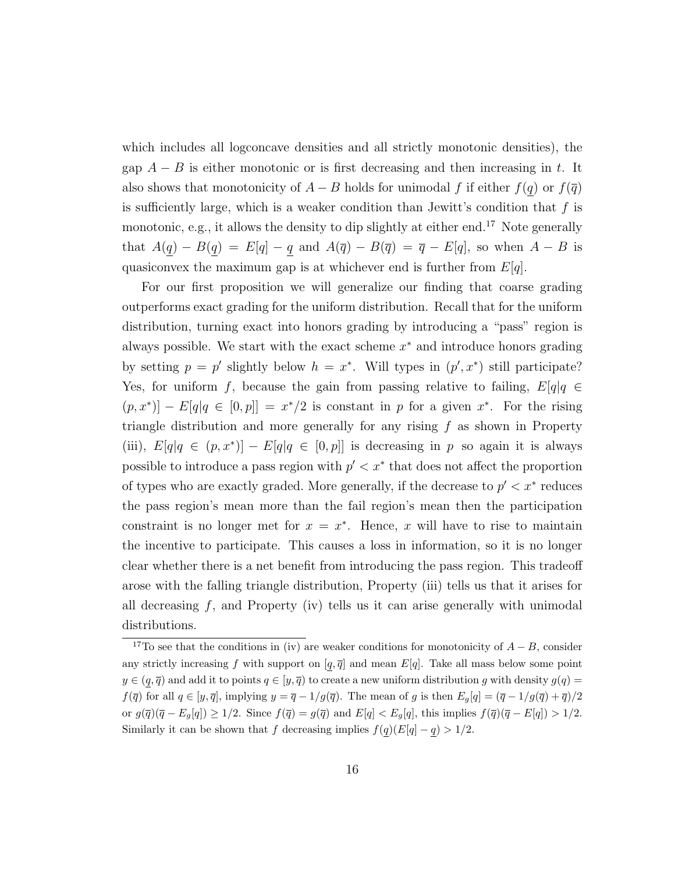which includes all logconcave densities and all strictly monotonic densities), the gap  $A - B$  is either monotonic or is first decreasing and then increasing in t. It also shows that monotonicity of  $A - B$  holds for unimodal f if either  $f(q)$  or  $f(\overline{q})$ is sufficiently large, which is a weaker condition than Jewitt's condition that  $f$  is monotonic, e.g., it allows the density to dip slightly at either end.<sup>17</sup> Note generally that  $A(q) - B(q) = E[q] - q$  and  $A(\overline{q}) - B(\overline{q}) = \overline{q} - E[q]$ , so when  $A - B$  is quasiconvex the maximum gap is at whichever end is further from  $E[q]$ .

For our first proposition we will generalize our finding that coarse grading outperforms exact grading for the uniform distribution. Recall that for the uniform distribution, turning exact into honors grading by introducing a "pass" region is always possible. We start with the exact scheme  $x^*$  and introduce honors grading by setting  $p = p'$  slightly below  $h = x^*$ . Will types in  $(p', x^*)$  still participate? Yes, for uniform f, because the gain from passing relative to failing,  $E[q]q \in$  $(p, x^*)$  –  $E[q|q \in [0, p]] = x^*/2$  is constant in p for a given  $x^*$ . For the rising triangle distribution and more generally for any rising  $f$  as shown in Property (iii),  $E[q]q \in (p, x^*)$  –  $E[q]q \in [0, p]$  is decreasing in p so again it is always possible to introduce a pass region with  $p' < x^*$  that does not affect the proportion of types who are exactly graded. More generally, if the decrease to  $p' < x^*$  reduces the pass region's mean more than the fail region's mean then the participation constraint is no longer met for  $x = x^*$ . Hence, x will have to rise to maintain the incentive to participate. This causes a loss in information, so it is no longer clear whether there is a net benefit from introducing the pass region. This tradeoff arose with the falling triangle distribution, Property (iii) tells us that it arises for all decreasing  $f$ , and Property (iv) tells us it can arise generally with unimodal distributions.

<sup>&</sup>lt;sup>17</sup>To see that the conditions in (iv) are weaker conditions for monotonicity of  $A - B$ , consider any strictly increasing f with support on  $[q, \bar{q}]$  and mean  $E[q]$ . Take all mass below some point  $y \in (q, \overline{q})$  and add it to points  $q \in [y, \overline{q})$  to create a new uniform distribution g with density  $g(q)$  $f(\overline{q})$  for all  $q \in [y, \overline{q}]$ , implying  $y = \overline{q} - 1/g(\overline{q})$ . The mean of g is then  $E_g[q] = (\overline{q} - 1/g(\overline{q}) + \overline{q})/2$ or  $g(\overline{q})(\overline{q} - E_g[q]) \ge 1/2$ . Since  $f(\overline{q}) = g(\overline{q})$  and  $E[q] < E_g[q]$ , this implies  $f(\overline{q})(\overline{q} - E[q]) > 1/2$ . Similarly it can be shown that f decreasing implies  $f(q)(E[q] - q) > 1/2$ .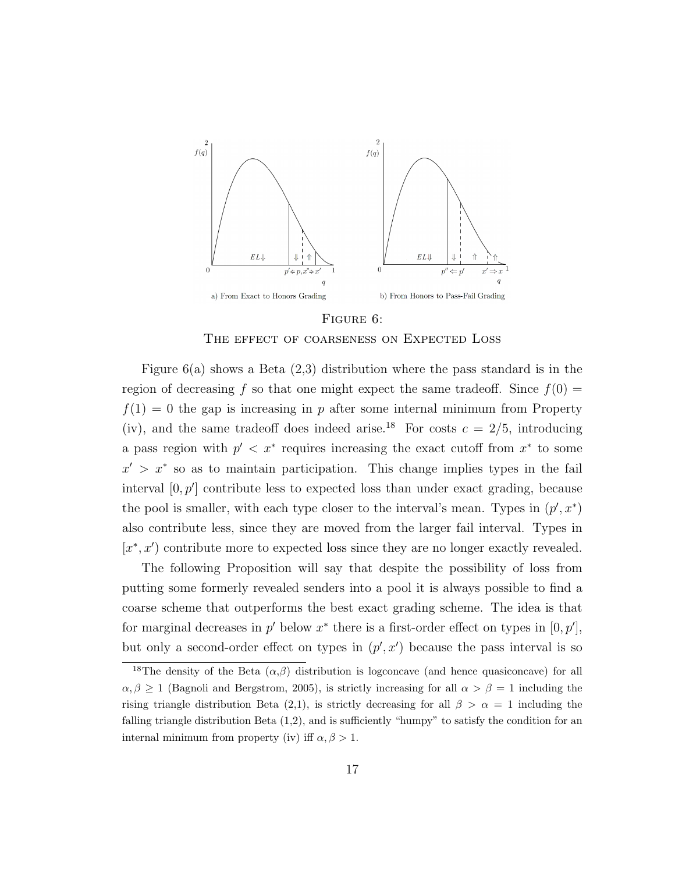

#### FIGURE 6:

#### THE EFFECT OF COARSENESS ON EXPECTED LOSS

Figure  $6(a)$  shows a Beta  $(2,3)$  distribution where the pass standard is in the region of decreasing f so that one might expect the same tradeoff. Since  $f(0) =$  $f(1) = 0$  the gap is increasing in p after some internal minimum from Property (iv), and the same tradeoff does indeed arise.<sup>18</sup> For costs  $c = 2/5$ , introducing a pass region with  $p' < x^*$  requires increasing the exact cutoff from  $x^*$  to some  $x' > x^*$  so as to maintain participation. This change implies types in the fail interval  $[0, p']$  contribute less to expected loss than under exact grading, because the pool is smaller, with each type closer to the interval's mean. Types in  $(p', x^*)$ also contribute less, since they are moved from the larger fail interval. Types in  $[x^*, x']$  contribute more to expected loss since they are no longer exactly revealed.

The following Proposition will say that despite the possibility of loss from putting some formerly revealed senders into a pool it is always possible to find a coarse scheme that outperforms the best exact grading scheme. The idea is that for marginal decreases in  $p'$  below  $x^*$  there is a first-order effect on types in  $[0, p'],$ but only a second-order effect on types in  $(p', x')$  because the pass interval is so

<sup>&</sup>lt;sup>18</sup>The density of the Beta  $(\alpha,\beta)$  distribution is logconcave (and hence quasiconcave) for all  $\alpha, \beta \geq 1$  (Bagnoli and Bergstrom, 2005), is strictly increasing for all  $\alpha > \beta = 1$  including the rising triangle distribution Beta (2,1), is strictly decreasing for all  $\beta > \alpha = 1$  including the falling triangle distribution Beta (1,2), and is sufficiently "humpy" to satisfy the condition for an internal minimum from property (iv) iff  $\alpha, \beta > 1$ .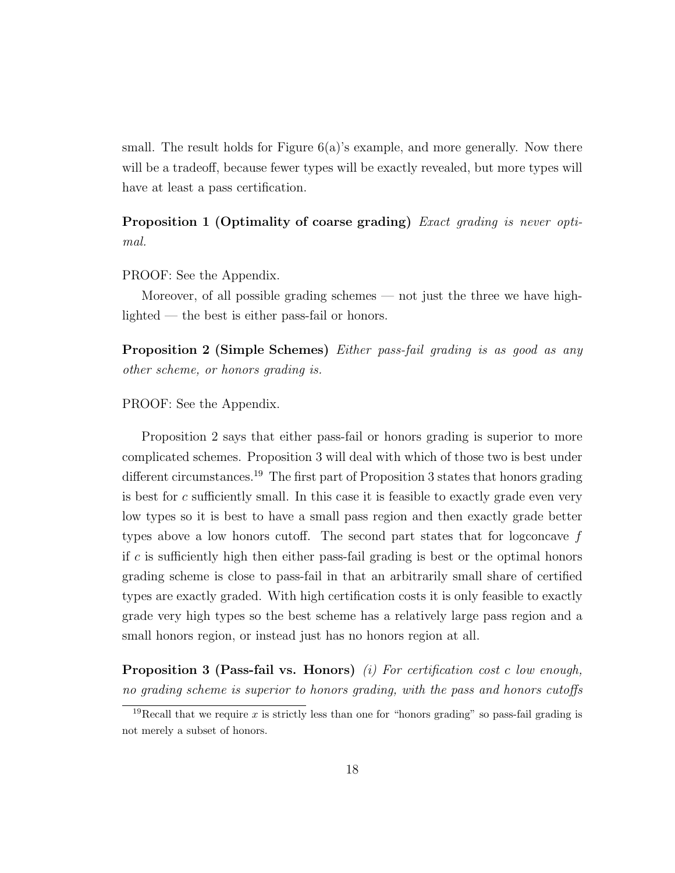small. The result holds for Figure  $6(a)$ 's example, and more generally. Now there will be a tradeoff, because fewer types will be exactly revealed, but more types will have at least a pass certification.

Proposition 1 (Optimality of coarse grading) Exact grading is never optimal.

PROOF: See the Appendix.

Moreover, of all possible grading schemes — not just the three we have highlighted — the best is either pass-fail or honors.

Proposition 2 (Simple Schemes) Either pass-fail grading is as good as any other scheme, or honors grading is.

PROOF: See the Appendix.

Proposition 2 says that either pass-fail or honors grading is superior to more complicated schemes. Proposition 3 will deal with which of those two is best under different circumstances.<sup>19</sup> The first part of Proposition 3 states that honors grading is best for  $c$  sufficiently small. In this case it is feasible to exactly grade even very low types so it is best to have a small pass region and then exactly grade better types above a low honors cutoff. The second part states that for logconcave  $f$ if  $c$  is sufficiently high then either pass-fail grading is best or the optimal honors grading scheme is close to pass-fail in that an arbitrarily small share of certified types are exactly graded. With high certification costs it is only feasible to exactly grade very high types so the best scheme has a relatively large pass region and a small honors region, or instead just has no honors region at all.

**Proposition 3 (Pass-fail vs. Honors)** (i) For certification cost c low enough, no grading scheme is superior to honors grading, with the pass and honors cutoffs

<sup>&</sup>lt;sup>19</sup>Recall that we require x is strictly less than one for "honors grading" so pass-fail grading is not merely a subset of honors.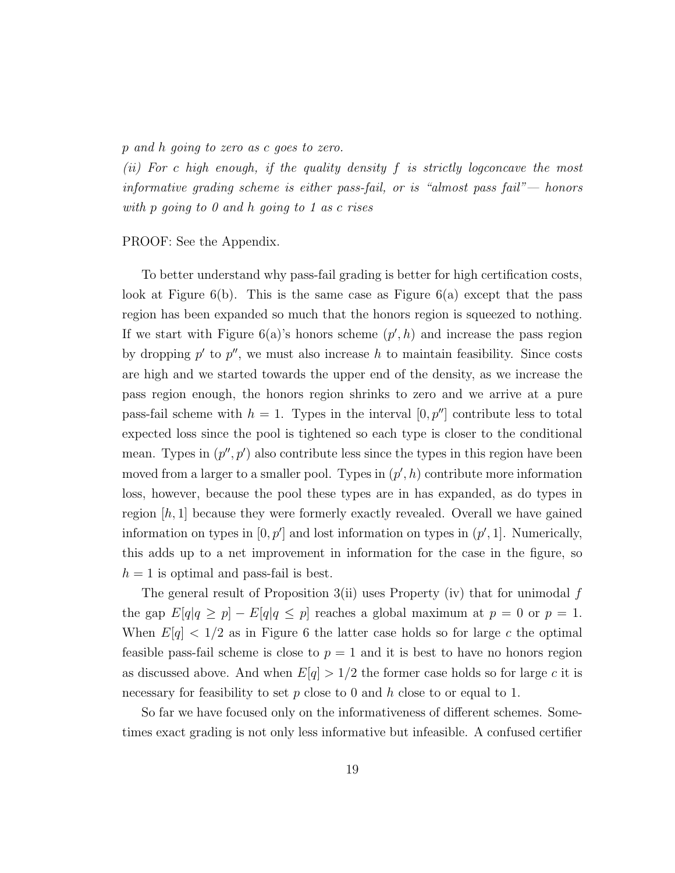p and h going to zero as c goes to zero.

(ii) For c high enough, if the quality density f is strictly logconcave the most informative grading scheme is either pass-fail, or is "almost pass fail"— honors with p going to 0 and h going to 1 as c rises

PROOF: See the Appendix.

To better understand why pass-fail grading is better for high certification costs, look at Figure  $6(b)$ . This is the same case as Figure  $6(a)$  except that the pass region has been expanded so much that the honors region is squeezed to nothing. If we start with Figure  $6(a)$ 's honors scheme  $(p', h)$  and increase the pass region by dropping  $p'$  to  $p''$ , we must also increase h to maintain feasibility. Since costs are high and we started towards the upper end of the density, as we increase the pass region enough, the honors region shrinks to zero and we arrive at a pure pass-fail scheme with  $h = 1$ . Types in the interval  $[0, p'']$  contribute less to total expected loss since the pool is tightened so each type is closer to the conditional mean. Types in  $(p'', p')$  also contribute less since the types in this region have been moved from a larger to a smaller pool. Types in  $(p', h)$  contribute more information loss, however, because the pool these types are in has expanded, as do types in region  $[h, 1]$  because they were formerly exactly revealed. Overall we have gained information on types in  $[0, p']$  and lost information on types in  $(p', 1]$ . Numerically, this adds up to a net improvement in information for the case in the figure, so  $h = 1$  is optimal and pass-fail is best.

The general result of Proposition 3(ii) uses Property (iv) that for unimodal  $f$ the gap  $E[q|q \ge p] - E[q|q \le p]$  reaches a global maximum at  $p = 0$  or  $p = 1$ . When  $E[q] < 1/2$  as in Figure 6 the latter case holds so for large c the optimal feasible pass-fail scheme is close to  $p = 1$  and it is best to have no honors region as discussed above. And when  $E[q] > 1/2$  the former case holds so for large c it is necessary for feasibility to set  $p$  close to 0 and  $h$  close to or equal to 1.

So far we have focused only on the informativeness of different schemes. Sometimes exact grading is not only less informative but infeasible. A confused certifier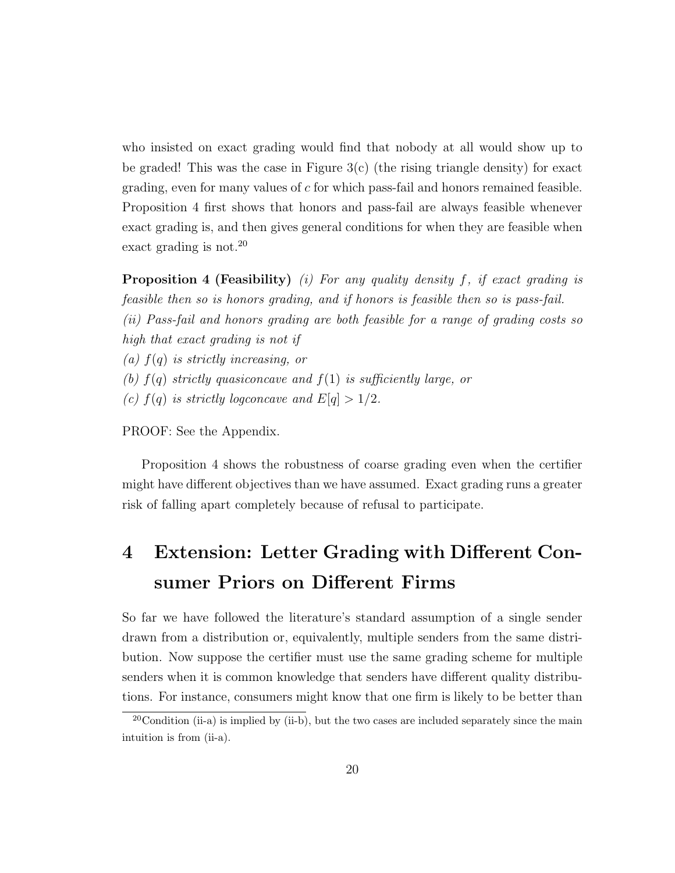who insisted on exact grading would find that nobody at all would show up to be graded! This was the case in Figure  $3(c)$  (the rising triangle density) for exact grading, even for many values of  $c$  for which pass-fail and honors remained feasible. Proposition 4 first shows that honors and pass-fail are always feasible whenever exact grading is, and then gives general conditions for when they are feasible when exact grading is not.<sup>20</sup>

**Proposition 4 (Feasibility)** (i) For any quality density f, if exact grading is feasible then so is honors grading, and if honors is feasible then so is pass-fail. (ii) Pass-fail and honors grading are both feasible for a range of grading costs so high that exact grading is not if (a)  $f(q)$  is strictly increasing, or (b)  $f(q)$  strictly quasiconcave and  $f(1)$  is sufficiently large, or (c)  $f(q)$  is strictly logconcave and  $E[q] > 1/2$ .

PROOF: See the Appendix.

Proposition 4 shows the robustness of coarse grading even when the certifier might have different objectives than we have assumed. Exact grading runs a greater risk of falling apart completely because of refusal to participate.

# 4 Extension: Letter Grading with Different Consumer Priors on Different Firms

So far we have followed the literature's standard assumption of a single sender drawn from a distribution or, equivalently, multiple senders from the same distribution. Now suppose the certifier must use the same grading scheme for multiple senders when it is common knowledge that senders have different quality distributions. For instance, consumers might know that one firm is likely to be better than

 $20$ Condition (ii-a) is implied by (ii-b), but the two cases are included separately since the main intuition is from (ii-a).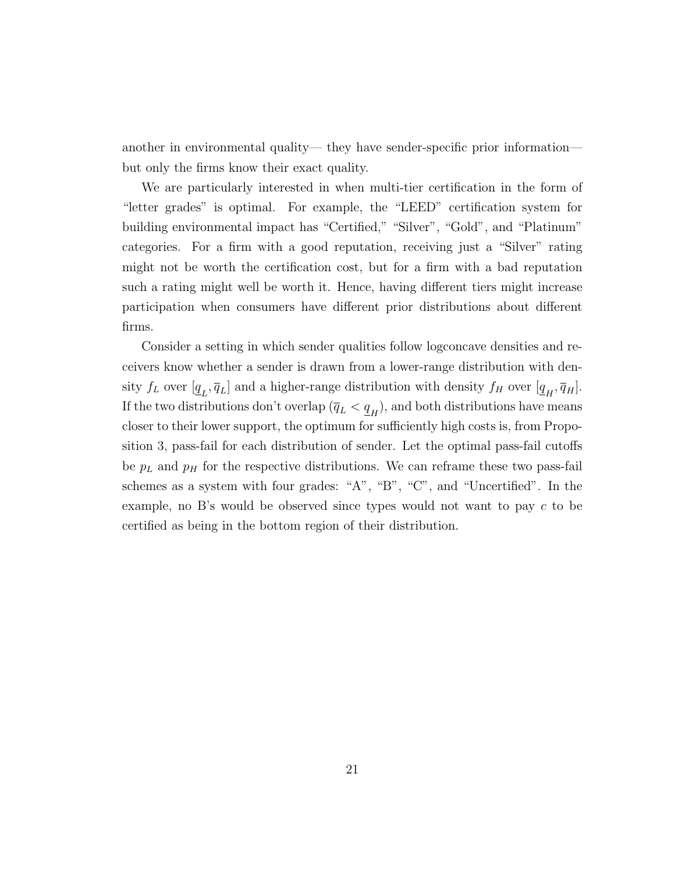another in environmental quality— they have sender-specific prior information but only the firms know their exact quality.

We are particularly interested in when multi-tier certification in the form of "letter grades" is optimal. For example, the "LEED" certification system for building environmental impact has "Certified," "Silver", "Gold", and "Platinum" categories. For a firm with a good reputation, receiving just a "Silver" rating might not be worth the certification cost, but for a firm with a bad reputation such a rating might well be worth it. Hence, having different tiers might increase participation when consumers have different prior distributions about different firms.

Consider a setting in which sender qualities follow logconcave densities and receivers know whether a sender is drawn from a lower-range distribution with density  $f_L$  over  $[\underline{q}_L, \overline{q}_L]$  and a higher-range distribution with density  $f_H$  over  $[\underline{q}_H, \overline{q}_H]$ . If the two distributions don't overlap  $(\overline{q}_L < \underline{q}_H)$ , and both distributions have means closer to their lower support, the optimum for sufficiently high costs is, from Proposition 3, pass-fail for each distribution of sender. Let the optimal pass-fail cutoffs be  $p<sub>L</sub>$  and  $p<sub>H</sub>$  for the respective distributions. We can reframe these two pass-fail schemes as a system with four grades: "A", "B", "C", and "Uncertified". In the example, no B's would be observed since types would not want to pay c to be certified as being in the bottom region of their distribution.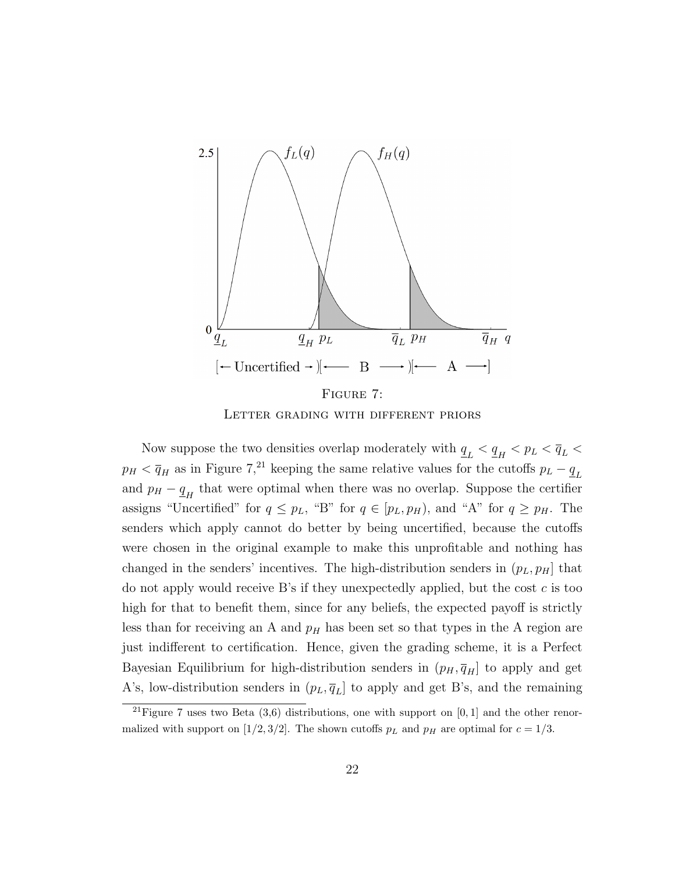

Letter grading with different priors

Now suppose the two densities overlap moderately with  $\underline{q}_L < \underline{q}_H < p_L < \overline{q}_L <$  $p_H < \overline{q}_H$  as in Figure 7,<sup>21</sup> keeping the same relative values for the cutoffs  $p_L - \underline{q}_L$ and  $p_H - \underline{q}_H$  that were optimal when there was no overlap. Suppose the certifier assigns "Uncertified" for  $q \leq p_L$ , "B" for  $q \in [p_L, p_H)$ , and "A" for  $q \geq p_H$ . The senders which apply cannot do better by being uncertified, because the cutoffs were chosen in the original example to make this unprofitable and nothing has changed in the senders' incentives. The high-distribution senders in  $(p_L, p_H]$  that do not apply would receive B's if they unexpectedly applied, but the cost  $c$  is too high for that to benefit them, since for any beliefs, the expected payoff is strictly less than for receiving an A and  $p<sub>H</sub>$  has been set so that types in the A region are just indifferent to certification. Hence, given the grading scheme, it is a Perfect Bayesian Equilibrium for high-distribution senders in  $(p_H, \overline{q}_H]$  to apply and get A's, low-distribution senders in  $(p_L, \bar{q}_L]$  to apply and get B's, and the remaining

<sup>&</sup>lt;sup>21</sup>Figure 7 uses two Beta  $(3,6)$  distributions, one with support on  $[0,1]$  and the other renormalized with support on [1/2, 3/2]. The shown cutoffs  $p<sub>L</sub>$  and  $p<sub>H</sub>$  are optimal for  $c = 1/3$ .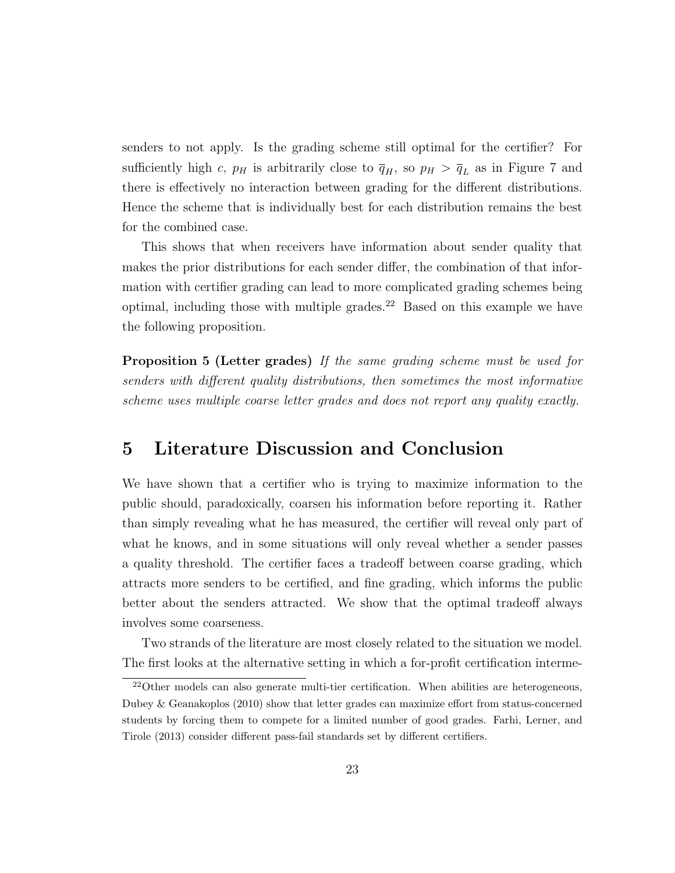senders to not apply. Is the grading scheme still optimal for the certifier? For sufficiently high c,  $p_H$  is arbitrarily close to  $\overline{q}_H$ , so  $p_H > \overline{q}_L$  as in Figure 7 and there is effectively no interaction between grading for the different distributions. Hence the scheme that is individually best for each distribution remains the best for the combined case.

This shows that when receivers have information about sender quality that makes the prior distributions for each sender differ, the combination of that information with certifier grading can lead to more complicated grading schemes being optimal, including those with multiple grades.<sup>22</sup> Based on this example we have the following proposition.

Proposition 5 (Letter grades) If the same grading scheme must be used for senders with different quality distributions, then sometimes the most informative scheme uses multiple coarse letter grades and does not report any quality exactly.

## 5 Literature Discussion and Conclusion

We have shown that a certifier who is trying to maximize information to the public should, paradoxically, coarsen his information before reporting it. Rather than simply revealing what he has measured, the certifier will reveal only part of what he knows, and in some situations will only reveal whether a sender passes a quality threshold. The certifier faces a tradeoff between coarse grading, which attracts more senders to be certified, and fine grading, which informs the public better about the senders attracted. We show that the optimal tradeoff always involves some coarseness.

Two strands of the literature are most closely related to the situation we model. The first looks at the alternative setting in which a for-profit certification interme-

<sup>&</sup>lt;sup>22</sup>Other models can also generate multi-tier certification. When abilities are heterogeneous, Dubey & Geanakoplos (2010) show that letter grades can maximize effort from status-concerned students by forcing them to compete for a limited number of good grades. Farhi, Lerner, and Tirole (2013) consider different pass-fail standards set by different certifiers.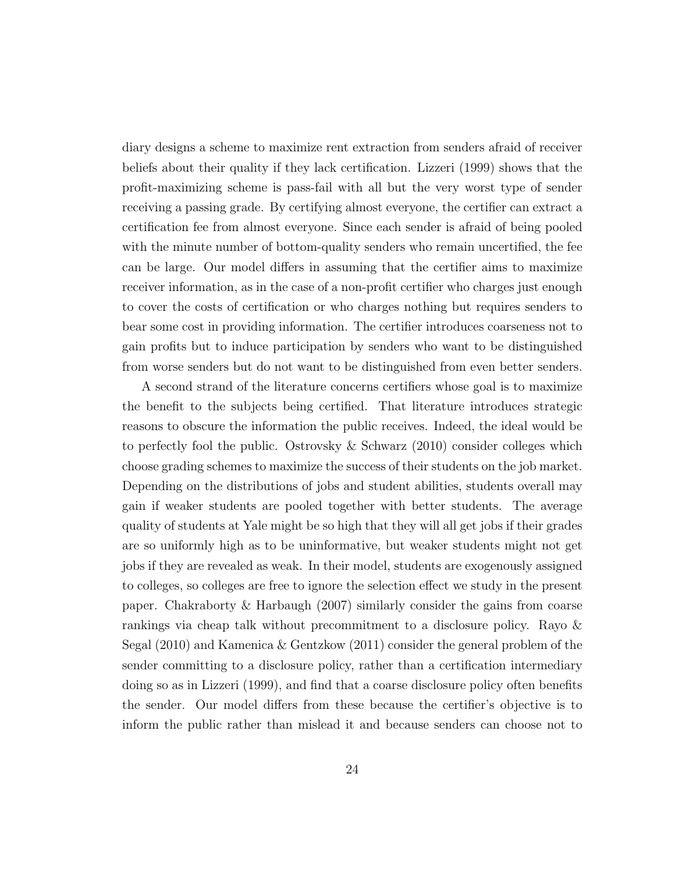diary designs a scheme to maximize rent extraction from senders afraid of receiver beliefs about their quality if they lack certification. Lizzeri (1999) shows that the profit-maximizing scheme is pass-fail with all but the very worst type of sender receiving a passing grade. By certifying almost everyone, the certifier can extract a certification fee from almost everyone. Since each sender is afraid of being pooled with the minute number of bottom-quality senders who remain uncertified, the fee can be large. Our model differs in assuming that the certifier aims to maximize receiver information, as in the case of a non-profit certifier who charges just enough to cover the costs of certification or who charges nothing but requires senders to bear some cost in providing information. The certifier introduces coarseness not to gain profits but to induce participation by senders who want to be distinguished from worse senders but do not want to be distinguished from even better senders.

A second strand of the literature concerns certifiers whose goal is to maximize the benefit to the subjects being certified. That literature introduces strategic reasons to obscure the information the public receives. Indeed, the ideal would be to perfectly fool the public. Ostrovsky & Schwarz (2010) consider colleges which choose grading schemes to maximize the success of their students on the job market. Depending on the distributions of jobs and student abilities, students overall may gain if weaker students are pooled together with better students. The average quality of students at Yale might be so high that they will all get jobs if their grades are so uniformly high as to be uninformative, but weaker students might not get jobs if they are revealed as weak. In their model, students are exogenously assigned to colleges, so colleges are free to ignore the selection effect we study in the present paper. Chakraborty & Harbaugh (2007) similarly consider the gains from coarse rankings via cheap talk without precommitment to a disclosure policy. Rayo & Segal (2010) and Kamenica & Gentzkow (2011) consider the general problem of the sender committing to a disclosure policy, rather than a certification intermediary doing so as in Lizzeri (1999), and find that a coarse disclosure policy often benefits the sender. Our model differs from these because the certifier's objective is to inform the public rather than mislead it and because senders can choose not to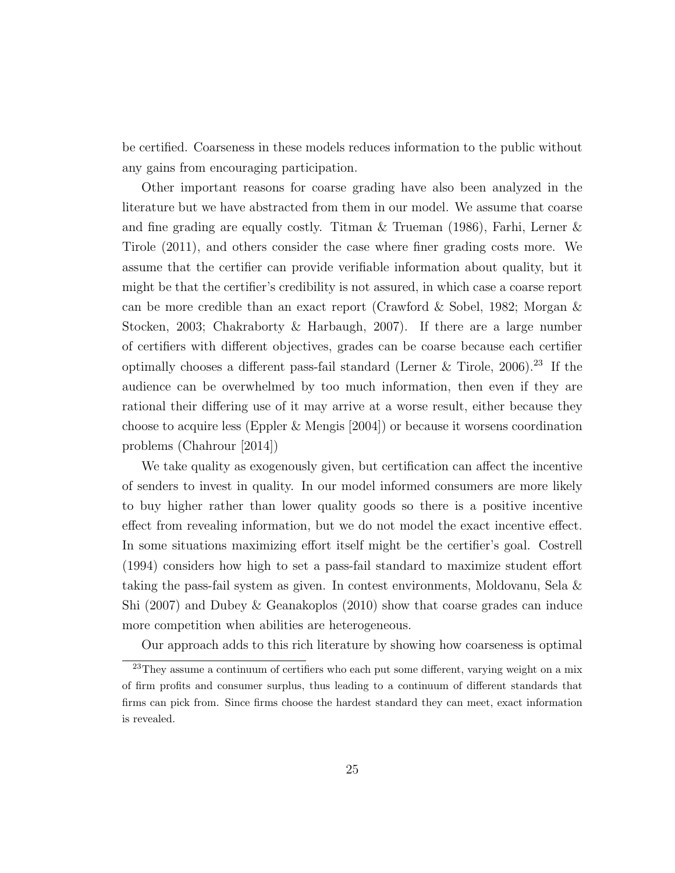be certified. Coarseness in these models reduces information to the public without any gains from encouraging participation.

Other important reasons for coarse grading have also been analyzed in the literature but we have abstracted from them in our model. We assume that coarse and fine grading are equally costly. Titman  $\&$  Trueman (1986), Farhi, Lerner  $\&$ Tirole (2011), and others consider the case where finer grading costs more. We assume that the certifier can provide verifiable information about quality, but it might be that the certifier's credibility is not assured, in which case a coarse report can be more credible than an exact report (Crawford & Sobel, 1982; Morgan & Stocken, 2003; Chakraborty & Harbaugh, 2007). If there are a large number of certifiers with different objectives, grades can be coarse because each certifier optimally chooses a different pass-fail standard (Lerner  $\&$  Tirole, 2006).<sup>23</sup> If the audience can be overwhelmed by too much information, then even if they are rational their differing use of it may arrive at a worse result, either because they choose to acquire less (Eppler & Mengis [2004]) or because it worsens coordination problems (Chahrour [2014])

We take quality as exogenously given, but certification can affect the incentive of senders to invest in quality. In our model informed consumers are more likely to buy higher rather than lower quality goods so there is a positive incentive effect from revealing information, but we do not model the exact incentive effect. In some situations maximizing effort itself might be the certifier's goal. Costrell (1994) considers how high to set a pass-fail standard to maximize student effort taking the pass-fail system as given. In contest environments, Moldovanu, Sela & Shi (2007) and Dubey & Geanakoplos (2010) show that coarse grades can induce more competition when abilities are heterogeneous.

Our approach adds to this rich literature by showing how coarseness is optimal

<sup>&</sup>lt;sup>23</sup>They assume a continuum of certifiers who each put some different, varying weight on a mix of firm profits and consumer surplus, thus leading to a continuum of different standards that firms can pick from. Since firms choose the hardest standard they can meet, exact information is revealed.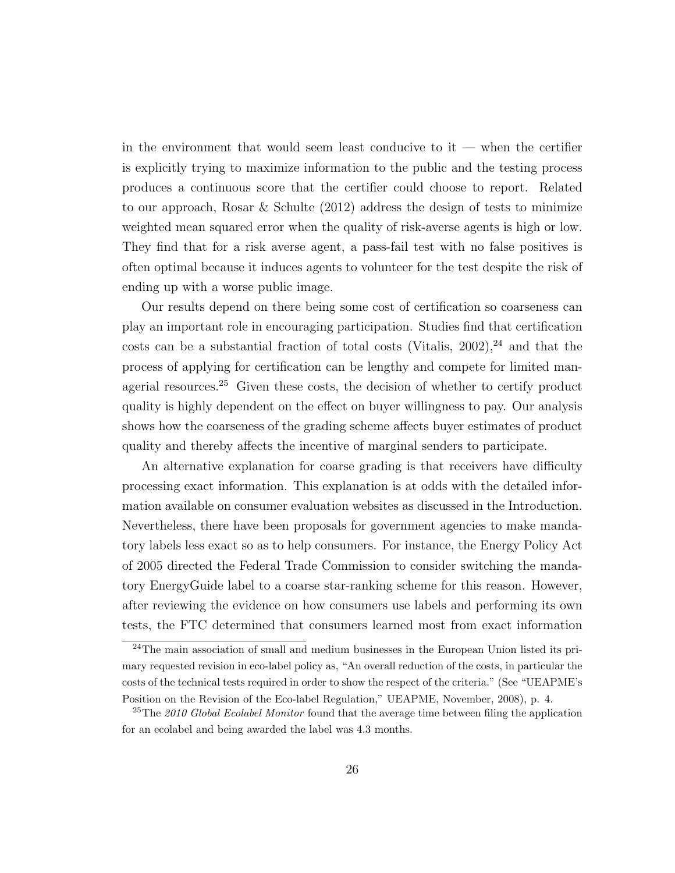in the environment that would seem least conducive to  $it$  — when the certifier is explicitly trying to maximize information to the public and the testing process produces a continuous score that the certifier could choose to report. Related to our approach, Rosar & Schulte (2012) address the design of tests to minimize weighted mean squared error when the quality of risk-averse agents is high or low. They find that for a risk averse agent, a pass-fail test with no false positives is often optimal because it induces agents to volunteer for the test despite the risk of ending up with a worse public image.

Our results depend on there being some cost of certification so coarseness can play an important role in encouraging participation. Studies find that certification costs can be a substantial fraction of total costs (Vitalis,  $2002$ ),  $24$  and that the process of applying for certification can be lengthy and compete for limited managerial resources.<sup>25</sup> Given these costs, the decision of whether to certify product quality is highly dependent on the effect on buyer willingness to pay. Our analysis shows how the coarseness of the grading scheme affects buyer estimates of product quality and thereby affects the incentive of marginal senders to participate.

An alternative explanation for coarse grading is that receivers have difficulty processing exact information. This explanation is at odds with the detailed information available on consumer evaluation websites as discussed in the Introduction. Nevertheless, there have been proposals for government agencies to make mandatory labels less exact so as to help consumers. For instance, the Energy Policy Act of 2005 directed the Federal Trade Commission to consider switching the mandatory EnergyGuide label to a coarse star-ranking scheme for this reason. However, after reviewing the evidence on how consumers use labels and performing its own tests, the FTC determined that consumers learned most from exact information

<sup>24</sup>The main association of small and medium businesses in the European Union listed its primary requested revision in eco-label policy as, "An overall reduction of the costs, in particular the costs of the technical tests required in order to show the respect of the criteria." (See "UEAPME's Position on the Revision of the Eco-label Regulation," UEAPME, November, 2008), p. 4.

<sup>&</sup>lt;sup>25</sup>The 2010 Global Ecolabel Monitor found that the average time between filing the application for an ecolabel and being awarded the label was 4.3 months.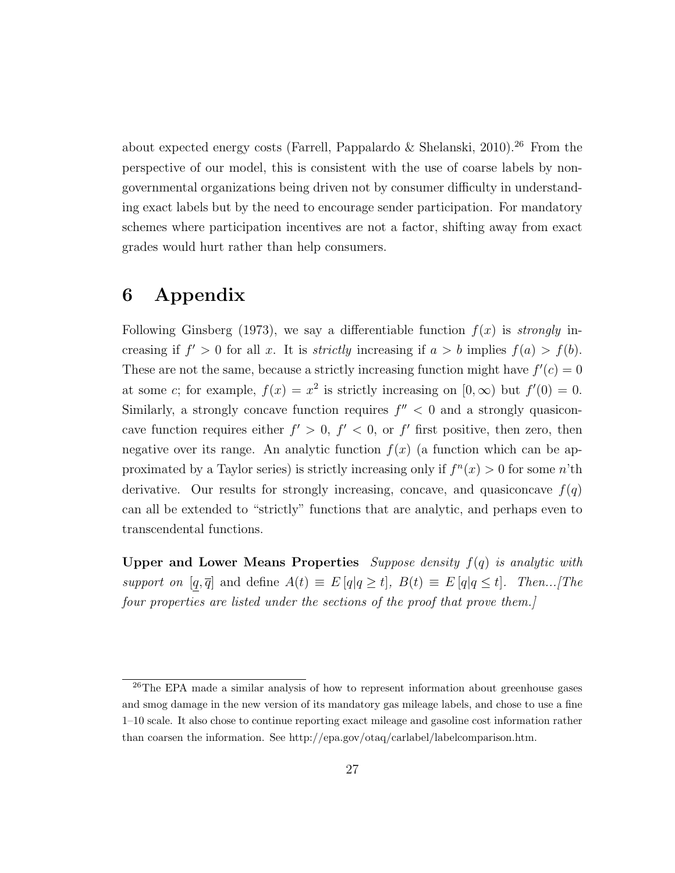about expected energy costs (Farrell, Pappalardo & Shelanski, 2010).<sup>26</sup> From the perspective of our model, this is consistent with the use of coarse labels by nongovernmental organizations being driven not by consumer difficulty in understanding exact labels but by the need to encourage sender participation. For mandatory schemes where participation incentives are not a factor, shifting away from exact grades would hurt rather than help consumers.

## 6 Appendix

Following Ginsberg (1973), we say a differentiable function  $f(x)$  is strongly increasing if  $f' > 0$  for all x. It is *strictly* increasing if  $a > b$  implies  $f(a) > f(b)$ . These are not the same, because a strictly increasing function might have  $f'(c) = 0$ at some c; for example,  $f(x) = x^2$  is strictly increasing on  $[0, \infty)$  but  $f'(0) = 0$ . Similarly, a strongly concave function requires  $f'' < 0$  and a strongly quasiconcave function requires either  $f' > 0$ ,  $f' < 0$ , or  $f'$  first positive, then zero, then negative over its range. An analytic function  $f(x)$  (a function which can be approximated by a Taylor series) is strictly increasing only if  $f^{(n)}(x) > 0$  for some n'th derivative. Our results for strongly increasing, concave, and quasiconcave  $f(q)$ can all be extended to "strictly" functions that are analytic, and perhaps even to transcendental functions.

Upper and Lower Means Properties Suppose density  $f(q)$  is analytic with support on  $[q, \overline{q}]$  and define  $A(t) \equiv E[q|q \ge t]$ ,  $B(t) \equiv E[q|q \le t]$ . Then...[The four properties are listed under the sections of the proof that prove them.]

<sup>26</sup>The EPA made a similar analysis of how to represent information about greenhouse gases and smog damage in the new version of its mandatory gas mileage labels, and chose to use a fine 1–10 scale. It also chose to continue reporting exact mileage and gasoline cost information rather than coarsen the information. See http://epa.gov/otaq/carlabel/labelcomparison.htm.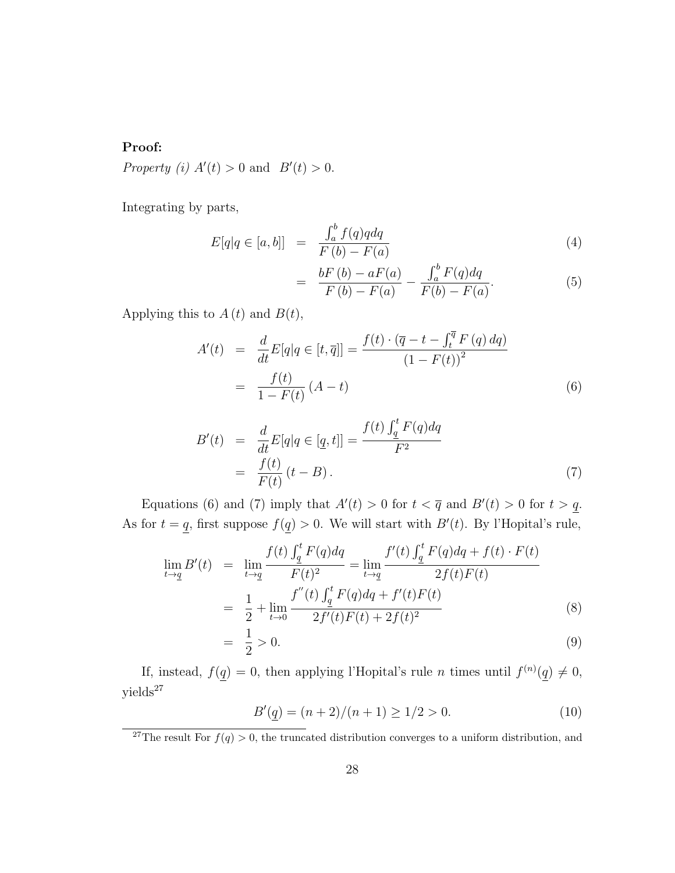### Proof:

Property (i)  $A'(t) > 0$  and  $B'(t) > 0$ .

Integrating by parts,

$$
E[q|q \in [a, b]] = \frac{\int_a^b f(q)q dq}{F(b) - F(a)} \tag{4}
$$

$$
= \frac{bF(b) - aF(a)}{F(b) - F(a)} - \frac{\int_a^b F(q) dq}{F(b) - F(a)}.
$$
\n(5)

Applying this to  $A(t)$  and  $B(t)$ ,

$$
A'(t) = \frac{d}{dt} E[q|q \in [t, \overline{q}]] = \frac{f(t) \cdot (\overline{q} - t - \int_t^{\overline{q}} F(q) \, dq)}{(1 - F(t))^2}
$$

$$
= \frac{f(t)}{1 - F(t)} (A - t) \tag{6}
$$

$$
B'(t) = \frac{d}{dt} E[q|q \in [q, t]] = \frac{f(t) \int_{\underline{q}}^t F(q) dq}{F^2}
$$
  
= 
$$
\frac{f(t)}{F(t)} (t - B).
$$
 (7)

Equations (6) and (7) imply that  $A'(t) > 0$  for  $t < \overline{q}$  and  $B'(t) > 0$  for  $t > q$ . As for  $t = q$ , first suppose  $f(q) > 0$ . We will start with  $B'(t)$ . By l'Hopital's rule,

$$
\lim_{t \to \underline{q}} B'(t) = \lim_{t \to \underline{q}} \frac{f(t) \int_{\underline{q}}^t F(q) dq}{F(t)^2} = \lim_{t \to \underline{q}} \frac{f'(t) \int_{\underline{q}}^t F(q) dq + f(t) \cdot F(t)}{2f(t)F(t)}
$$
\n
$$
= \frac{1}{2} + \lim_{t \to 0} \frac{f''(t) \int_{\underline{q}}^t F(q) dq + f'(t)F(t)}{2f'(t)F(t) + 2f(t)^2}
$$
\n(8)

$$
= \frac{1}{2} > 0. \tag{9}
$$

If, instead,  $f(q) = 0$ , then applying l'Hopital's rule *n* times until  $f^{(n)}(q) \neq 0$ , yields<sup>27</sup>

$$
B'(\underline{q}) = (n+2)/(n+1) \ge 1/2 > 0.
$$
\n(10)

<sup>&</sup>lt;sup>27</sup>The result For  $f(q) > 0$ , the truncated distribution converges to a uniform distribution, and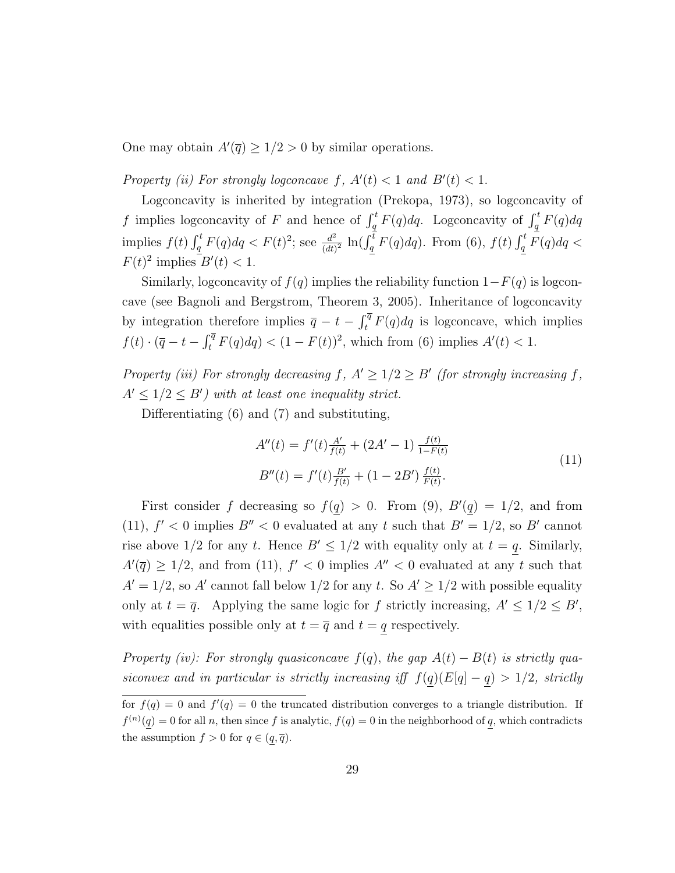One may obtain  $A'(\bar{q}) \geq 1/2 > 0$  by similar operations.

Property (ii) For strongly logconcave f,  $A'(t) < 1$  and  $B'(t) < 1$ .

Logconcavity is inherited by integration (Prekopa, 1973), so logconcavity of f implies logconcavity of F and hence of  $\int_q^t F(q) dq$ . Logconcavity of  $\int_q^t F(q) dq$ implies  $f(t) \int_q^t F(q) dq < F(t)^2$ ; see  $\frac{d^2}{(dt)}$  $\frac{d^2}{(dt)^2} \ln(\int_q^{\overline{t}} F(q) dq)$ . From (6),  $f(t) \int_q^t \overline{F}(q) dq <$  $F(t)^2$  implies  $B'(t) < 1$ .

Similarly, logconcavity of  $f(q)$  implies the reliability function  $1-F(q)$  is logconcave (see Bagnoli and Bergstrom, Theorem 3, 2005). Inheritance of logconcavity by integration therefore implies  $\overline{q} - t - \int_t^{\overline{q}} F(q) dq$  is logconcave, which implies  $f(t) \cdot (\overline{q} - t - \int_t^{\overline{q}} F(q) dq) < (1 - F(t))^2$ , which from (6) implies  $A'(t) < 1$ .

Property (iii) For strongly decreasing  $f, A' \geq 1/2 \geq B'$  (for strongly increasing f,  $A' \leq 1/2 \leq B'$ ) with at least one inequality strict.

Differentiating (6) and (7) and substituting,

$$
A''(t) = f'(t)\frac{A'}{f(t)} + (2A' - 1)\frac{f(t)}{1 - F(t)}
$$
  
\n
$$
B''(t) = f'(t)\frac{B'}{f(t)} + (1 - 2B')\frac{f(t)}{F(t)}.
$$
\n(11)

First consider f decreasing so  $f(q) > 0$ . From (9),  $B'(q) = 1/2$ , and from (11),  $f' < 0$  implies  $B'' < 0$  evaluated at any t such that  $B' = 1/2$ , so B' cannot rise above  $1/2$  for any t. Hence  $B' \leq 1/2$  with equality only at  $t = q$ . Similarly,  $A'(\overline{q}) \geq 1/2$ , and from (11),  $f' < 0$  implies  $A'' < 0$  evaluated at any t such that  $A' = 1/2$ , so A' cannot fall below  $1/2$  for any t. So  $A' \ge 1/2$  with possible equality only at  $t = \overline{q}$ . Applying the same logic for f strictly increasing,  $A' \leq 1/2 \leq B'$ , with equalities possible only at  $t = \overline{q}$  and  $t = q$  respectively.

Property (iv): For strongly quasiconcave  $f(q)$ , the gap  $A(t) - B(t)$  is strictly quasiconvex and in particular is strictly increasing iff  $f(q)(E[q] - q) > 1/2$ , strictly

for  $f(q) = 0$  and  $f'(q) = 0$  the truncated distribution converges to a triangle distribution. If  $f^{(n)}(q) = 0$  for all n, then since f is analytic,  $f(q) = 0$  in the neighborhood of q, which contradicts the assumption  $f > 0$  for  $q \in (q, \overline{q})$ .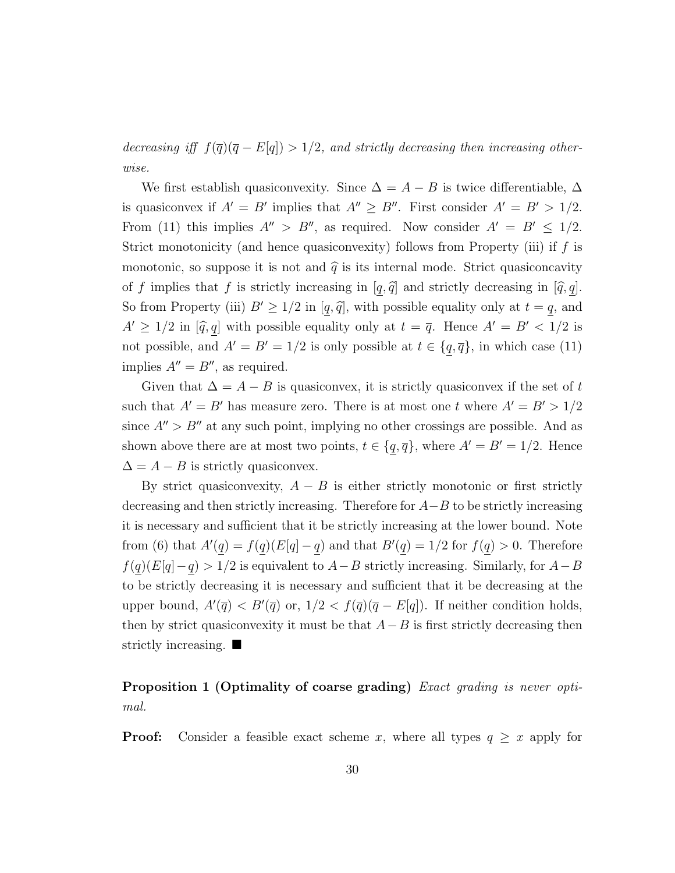decreasing iff  $f(\overline{q})(\overline{q} - E[q]) > 1/2$ , and strictly decreasing then increasing otherwise.

We first establish quasiconvexity. Since  $\Delta = A - B$  is twice differentiable,  $\Delta$ is quasiconvex if  $A' = B'$  implies that  $A'' \geq B''$ . First consider  $A' = B' > 1/2$ . From (11) this implies  $A'' > B''$ , as required. Now consider  $A' = B' \le 1/2$ . Strict monotonicity (and hence quasiconvexity) follows from Property (iii) if  $f$  is monotonic, so suppose it is not and  $\hat{q}$  is its internal mode. Strict quasiconcavity of f implies that f is strictly increasing in  $[q, \hat{q}]$  and strictly decreasing in  $[\hat{q}, q]$ . So from Property (iii)  $B' \geq 1/2$  in [q, q̃], with possible equality only at  $t = q$ , and  $A' \geq 1/2$  in  $[\hat{q}, q]$  with possible equality only at  $t = \overline{q}$ . Hence  $A' = B' < 1/2$  is not possible, and  $A' = B' = 1/2$  is only possible at  $t \in \{q, \overline{q}\}\)$ , in which case (11) implies  $A'' = B''$ , as required.

Given that  $\Delta = A - B$  is quasiconvex, it is strictly quasiconvex if the set of t such that  $A' = B'$  has measure zero. There is at most one t where  $A' = B' > 1/2$ since  $A'' > B''$  at any such point, implying no other crossings are possible. And as shown above there are at most two points,  $t \in \{q, \overline{q}\}\,$ , where  $A' = B' = 1/2$ . Hence  $\Delta = A - B$  is strictly quasiconvex.

By strict quasiconvexity,  $A - B$  is either strictly monotonic or first strictly decreasing and then strictly increasing. Therefore for  $A-B$  to be strictly increasing it is necessary and sufficient that it be strictly increasing at the lower bound. Note from (6) that  $A'(q) = f(q)(E[q] - q)$  and that  $B'(q) = 1/2$  for  $f(q) > 0$ . Therefore  $f(q)(E[q]-q) > 1/2$  is equivalent to  $A-B$  strictly increasing. Similarly, for  $A-B$ to be strictly decreasing it is necessary and sufficient that it be decreasing at the upper bound,  $A'(\overline{q}) < B'(\overline{q})$  or,  $1/2 < f(\overline{q})(\overline{q} - E[q])$ . If neither condition holds, then by strict quasiconvexity it must be that  $A-B$  is first strictly decreasing then strictly increasing.  $\blacksquare$ 

### Proposition 1 (Optimality of coarse grading) Exact grading is never optimal.

**Proof:** Consider a feasible exact scheme x, where all types  $q \geq x$  apply for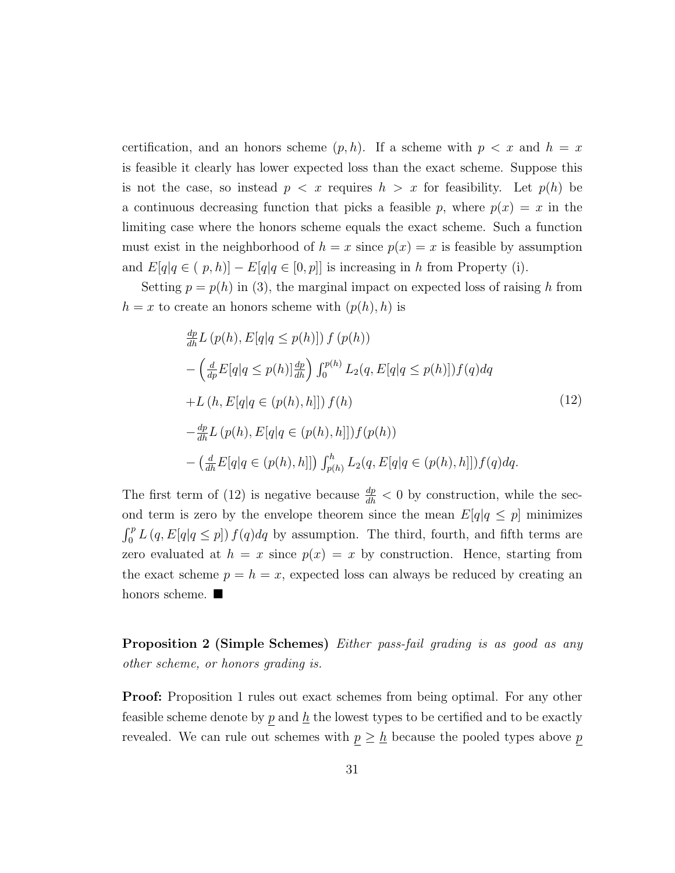certification, and an honors scheme  $(p, h)$ . If a scheme with  $p < x$  and  $h = x$ is feasible it clearly has lower expected loss than the exact scheme. Suppose this is not the case, so instead  $p \leq x$  requires  $h > x$  for feasibility. Let  $p(h)$  be a continuous decreasing function that picks a feasible p, where  $p(x) = x$  in the limiting case where the honors scheme equals the exact scheme. Such a function must exist in the neighborhood of  $h = x$  since  $p(x) = x$  is feasible by assumption and  $E[q|q \in (p,h)] - E[q|q \in [0,p]]$  is increasing in h from Property (i).

Setting  $p = p(h)$  in (3), the marginal impact on expected loss of raising h from  $h = x$  to create an honors scheme with  $(p(h), h)$  is

$$
\frac{dp}{dh}L(p(h), E[q|q \le p(h)]) f(p(h))
$$
\n
$$
-\left(\frac{d}{dp}E[q|q \le p(h)]\frac{dp}{dh}\right) \int_0^{p(h)} L_2(q, E[q|q \le p(h)]) f(q) dq
$$
\n
$$
+L(h, E[q|q \in (p(h), h]]) f(h)
$$
\n
$$
-\frac{dp}{dh}L(p(h), E[q|q \in (p(h), h]]) f(p(h))
$$
\n
$$
-\left(\frac{d}{dh}E[q|q \in (p(h), h]]) \int_{p(h)}^h L_2(q, E[q|q \in (p(h), h]]) f(q) dq.
$$
\n(12)

The first term of (12) is negative because  $\frac{dp}{dh} < 0$  by construction, while the second term is zero by the envelope theorem since the mean  $E[q]_q \leq p$  minimizes  $\int_0^p L(q, E[q]q \leq p]) f(q) dq$  by assumption. The third, fourth, and fifth terms are zero evaluated at  $h = x$  since  $p(x) = x$  by construction. Hence, starting from the exact scheme  $p = h = x$ , expected loss can always be reduced by creating an honors scheme.  $\blacksquare$ 

Proposition 2 (Simple Schemes) Either pass-fail grading is as good as any other scheme, or honors grading is.

Proof: Proposition 1 rules out exact schemes from being optimal. For any other feasible scheme denote by  $p$  and  $\underline{h}$  the lowest types to be certified and to be exactly revealed. We can rule out schemes with  $\underline{p} \geq \underline{h}$  because the pooled types above  $\underline{p}$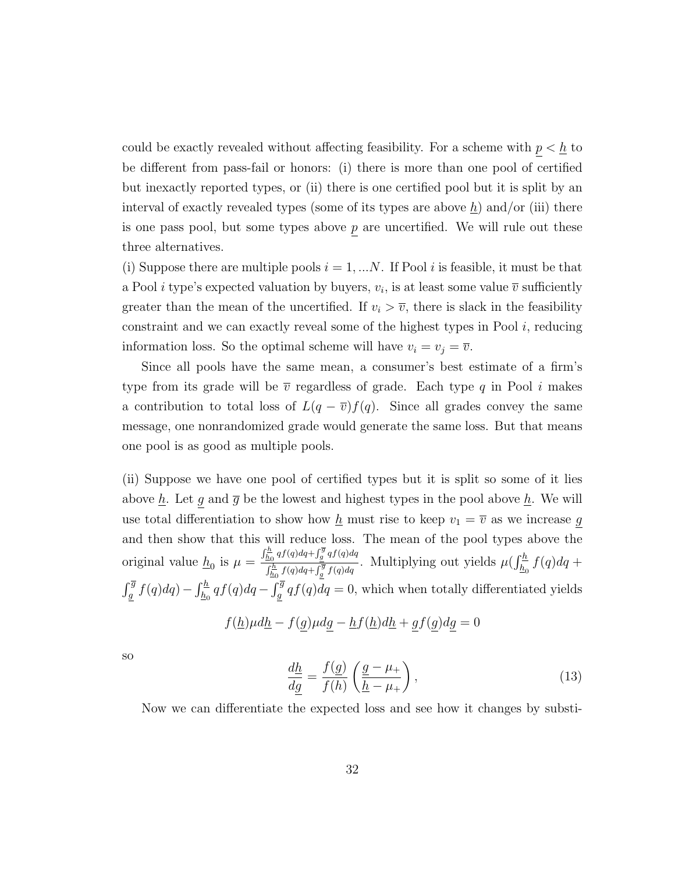could be exactly revealed without affecting feasibility. For a scheme with  $p < \underline{h}$  to be different from pass-fail or honors: (i) there is more than one pool of certified but inexactly reported types, or (ii) there is one certified pool but it is split by an interval of exactly revealed types (some of its types are above  $h$ ) and/or (iii) there is one pass pool, but some types above  $p$  are uncertified. We will rule out these three alternatives.

(i) Suppose there are multiple pools  $i = 1, \ldots N$ . If Pool i is feasible, it must be that a Pool *i* type's expected valuation by buyers,  $v_i$ , is at least some value  $\overline{v}$  sufficiently greater than the mean of the uncertified. If  $v_i > \overline{v}$ , there is slack in the feasibility constraint and we can exactly reveal some of the highest types in Pool i, reducing information loss. So the optimal scheme will have  $v_i = v_j = \overline{v}$ .

Since all pools have the same mean, a consumer's best estimate of a firm's type from its grade will be  $\bar{v}$  regardless of grade. Each type q in Pool i makes a contribution to total loss of  $L(q - \overline{v})f(q)$ . Since all grades convey the same message, one nonrandomized grade would generate the same loss. But that means one pool is as good as multiple pools.

(ii) Suppose we have one pool of certified types but it is split so some of it lies above  $\underline{h}$ . Let g and  $\overline{g}$  be the lowest and highest types in the pool above  $\underline{h}$ . We will use total differentiation to show how  $\underline{h}$  must rise to keep  $v_1 = \overline{v}$  as we increase g and then show that this will reduce loss. The mean of the pool types above the original value  $\underline{h}_0$  is  $\mu =$  $\int_{\underline{h}_0}^{\underline{h}} q f(q) dq + \int_{\underline{g}}^{\overline{g}} q f(q) dq$  $\frac{\frac{h_0}{h_0}qJ(q)aq+\int_{g}^{g}qJ(q)dq}{\int_{\frac{h_0}{h_0}}^{h}f(q)dq+\int_{g}^{g}f(q)dq}$ . Multiplying out yields  $\mu(\int_{\frac{h_0}{h_0}}^{h}f(q)dq+\mu)$  $\int_{\frac{a}{2}}^{\overline{g}} f(q) dq$  –  $\int_{\frac{h}{2}}^{\overline{h}} df(q) dq$  –  $\int_{\frac{a}{2}}^{\overline{g}} q f(q) dq$  = 0, which when totally differentiated yields  $f(\underline{h})\mu d\underline{h} - f(g)\mu dg - \underline{h}f(\underline{h})d\underline{h} + gf(g)dg = 0$ 

so

$$
\frac{d\underline{h}}{d\underline{g}} = \frac{f(\underline{g})}{f(h)} \left( \frac{\underline{g} - \mu_+}{\underline{h} - \mu_+} \right),\tag{13}
$$

Now we can differentiate the expected loss and see how it changes by substi-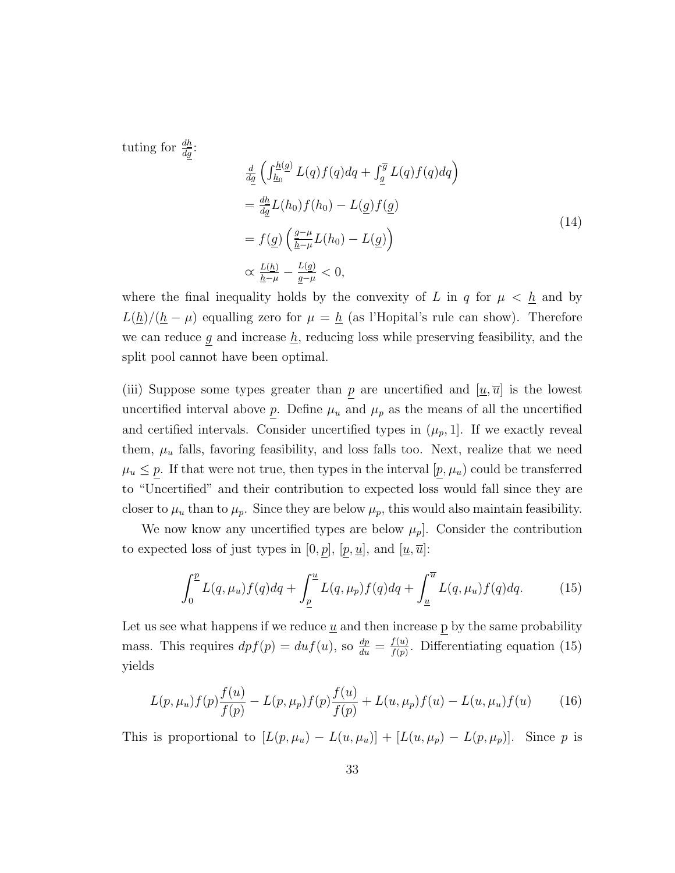tuting for  $\frac{dh}{dg}$ :

$$
\frac{d}{dg} \left( \int_{\underline{h}_0}^{\underline{h}(g)} L(q) f(q) dq + \int_{\underline{g}}^{\overline{g}} L(q) f(q) dq \right)
$$
\n
$$
= \frac{d\underline{h}}{dg} L(h_0) f(h_0) - L(\underline{g}) f(\underline{g})
$$
\n
$$
= f(\underline{g}) \left( \frac{g - \mu}{\underline{h} - \mu} L(h_0) - L(\underline{g}) \right)
$$
\n
$$
\propto \frac{L(\underline{h})}{\underline{h} - \mu} - \frac{L(\underline{g})}{\underline{g} - \mu} < 0,
$$
\n(14)

where the final inequality holds by the convexity of L in q for  $\mu < \underline{h}$  and by  $L(\underline{h})/(\underline{h} - \mu)$  equalling zero for  $\mu = \underline{h}$  (as l'Hopital's rule can show). Therefore we can reduce  $g$  and increase  $h$ , reducing loss while preserving feasibility, and the split pool cannot have been optimal.

(iii) Suppose some types greater than p are uncertified and  $[\underline{u}, \overline{u}]$  is the lowest uncertified interval above  $\bar{p}$ . Define  $\mu_u$  and  $\mu_p$  as the means of all the uncertified and certified intervals. Consider uncertified types in  $(\mu_p, 1]$ . If we exactly reveal them,  $\mu_u$  falls, favoring feasibility, and loss falls too. Next, realize that we need  $\mu_u \leq p$ . If that were not true, then types in the interval  $[p, \mu_u]$  could be transferred to "Uncertified" and their contribution to expected loss would fall since they are closer to  $\mu_u$  than to  $\mu_p$ . Since they are below  $\mu_p$ , this would also maintain feasibility.

We now know any uncertified types are below  $\mu_p$ . Consider the contribution to expected loss of just types in  $[0, p]$ ,  $[p, \underline{u}]$ , and  $[\underline{u}, \overline{u}]$ :

$$
\int_0^{\underline{p}} L(q, \mu_u) f(q) dq + \int_{\underline{p}}^{\underline{u}} L(q, \mu_p) f(q) dq + \int_{\underline{u}}^{\overline{u}} L(q, \mu_u) f(q) dq. \tag{15}
$$

Let us see what happens if we reduce  $\underline{u}$  and then increase p by the same probability mass. This requires  $dpf(p) = du f(u)$ , so  $\frac{dp}{du} = \frac{f(u)}{f(p)}$  $\frac{f(u)}{f(p)}$ . Differentiating equation (15) yields

$$
L(p, \mu_u) f(p) \frac{f(u)}{f(p)} - L(p, \mu_p) f(p) \frac{f(u)}{f(p)} + L(u, \mu_p) f(u) - L(u, \mu_u) f(u) \tag{16}
$$

This is proportional to  $[L(p, \mu_u) - L(u, \mu_u)] + [L(u, \mu_p) - L(p, \mu_p)]$ . Since p is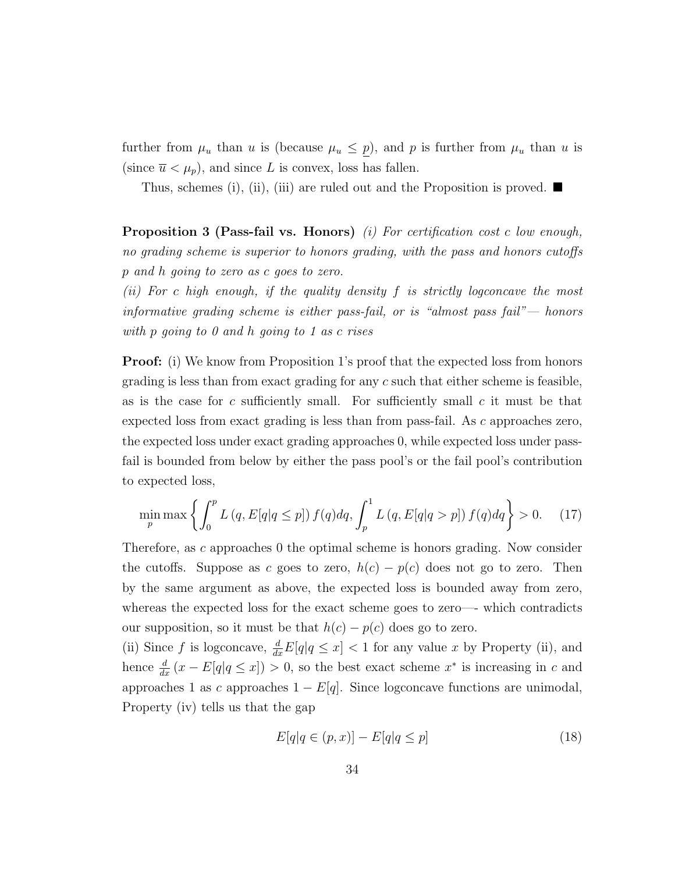further from  $\mu_u$  than u is (because  $\mu_u \leq p$ ), and p is further from  $\mu_u$  than u is (since  $\overline{u} < \mu_p$ ), and since L is convex, loss has fallen.

Thus, schemes (i), (ii), (iii) are ruled out and the Proposition is proved.  $\blacksquare$ 

**Proposition 3 (Pass-fail vs. Honors)** (i) For certification cost c low enough, no grading scheme is superior to honors grading, with the pass and honors cutoffs p and h going to zero as c goes to zero.

(ii) For c high enough, if the quality density  $f$  is strictly logconcave the most informative grading scheme is either pass-fail, or is "almost pass fail"— honors with p going to 0 and h going to 1 as c rises

Proof: (i) We know from Proposition 1's proof that the expected loss from honors grading is less than from exact grading for any  $c$  such that either scheme is feasible, as is the case for c sufficiently small. For sufficiently small c it must be that expected loss from exact grading is less than from pass-fail. As c approaches zero, the expected loss under exact grading approaches 0, while expected loss under passfail is bounded from below by either the pass pool's or the fail pool's contribution to expected loss,

$$
\min_{p} \max \left\{ \int_{0}^{p} L\left(q, E[q|q \le p] \right) f(q) dq, \int_{p}^{1} L\left(q, E[q|q > p] \right) f(q) dq \right\} > 0. \tag{17}
$$

Therefore, as c approaches 0 the optimal scheme is honors grading. Now consider the cutoffs. Suppose as c goes to zero,  $h(c) - p(c)$  does not go to zero. Then by the same argument as above, the expected loss is bounded away from zero, whereas the expected loss for the exact scheme goes to zero—- which contradicts our supposition, so it must be that  $h(c) - p(c)$  does go to zero.

(ii) Since f is logconcave,  $\frac{d}{dx}E[q|q \leq x] < 1$  for any value x by Property (ii), and hence  $\frac{d}{dx}(x - E[q|q \leq x]) > 0$ , so the best exact scheme  $x^*$  is increasing in c and approaches 1 as c approaches  $1 - E[q]$ . Since logconcave functions are unimodal, Property (iv) tells us that the gap

$$
E[q|q \in (p,x)] - E[q|q \le p]
$$
\n
$$
(18)
$$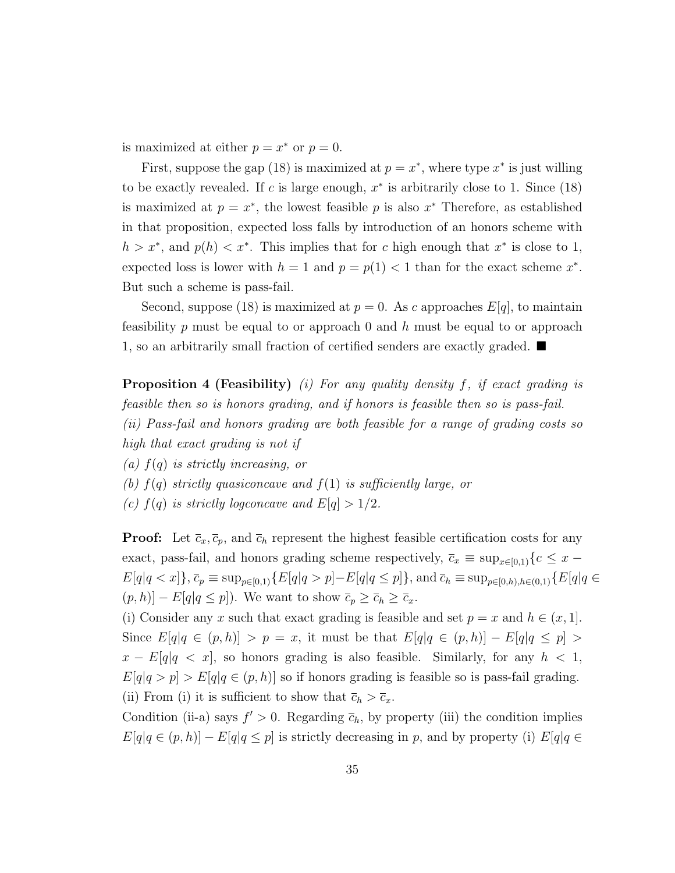is maximized at either  $p = x^*$  or  $p = 0$ .

First, suppose the gap (18) is maximized at  $p = x^*$ , where type  $x^*$  is just willing to be exactly revealed. If c is large enough,  $x^*$  is arbitrarily close to 1. Since (18) is maximized at  $p = x^*$ , the lowest feasible p is also  $x^*$  Therefore, as established in that proposition, expected loss falls by introduction of an honors scheme with  $h > x^*$ , and  $p(h) < x^*$ . This implies that for c high enough that  $x^*$  is close to 1, expected loss is lower with  $h = 1$  and  $p = p(1) < 1$  than for the exact scheme  $x^*$ . But such a scheme is pass-fail.

Second, suppose (18) is maximized at  $p = 0$ . As c approaches  $E[q]$ , to maintain feasibility p must be equal to or approach 0 and h must be equal to or approach 1, so an arbitrarily small fraction of certified senders are exactly graded.  $\blacksquare$ 

**Proposition 4 (Feasibility)** (i) For any quality density  $f$ , if exact grading is feasible then so is honors grading, and if honors is feasible then so is pass-fail. (ii) Pass-fail and honors grading are both feasible for a range of grading costs so high that exact grading is not if

(a)  $f(q)$  is strictly increasing, or

(b)  $f(q)$  strictly quasiconcave and  $f(1)$  is sufficiently large, or

(c)  $f(q)$  is strictly logconcave and  $E[q] > 1/2$ .

**Proof:** Let  $\bar{c}_x, \bar{c}_p$ , and  $\bar{c}_h$  represent the highest feasible certification costs for any exact, pass-fail, and honors grading scheme respectively,  $\bar{c}_x \equiv \sup_{x \in [0,1]} \{c \leq x E[q|q < x]$ ,  $\bar{c}_p \equiv \sup_{p \in [0,1)} \{E[q|q > p] - E[q|q \le p]\}$ , and  $\bar{c}_h \equiv \sup_{p \in [0,h),h \in (0,1)} \{E[q|q \in [0,h],h\in [0,h],h\in [0,h]\}$  $(p, h)$ ] –  $E[q|q \leq p]$ ). We want to show  $\overline{c}_p \geq \overline{c}_h \geq \overline{c}_x$ .

(i) Consider any x such that exact grading is feasible and set  $p = x$  and  $h \in (x, 1]$ . Since  $E[q|q \in (p,h)] > p = x$ , it must be that  $E[q|q \in (p,h)] - E[q|q \leq p] >$  $x - E[q]q < x$ , so honors grading is also feasible. Similarly, for any  $h < 1$ ,  $E[q|q > p] > E[q|q \in (p,h)]$  so if honors grading is feasible so is pass-fail grading. (ii) From (i) it is sufficient to show that  $\overline{c}_h > \overline{c}_x$ .

Condition (ii-a) says  $f' > 0$ . Regarding  $\bar{c}_h$ , by property (iii) the condition implies  $E[q|q \in (p,h)] - E[q|q \leq p]$  is strictly decreasing in p, and by property (i)  $E[q|q \in$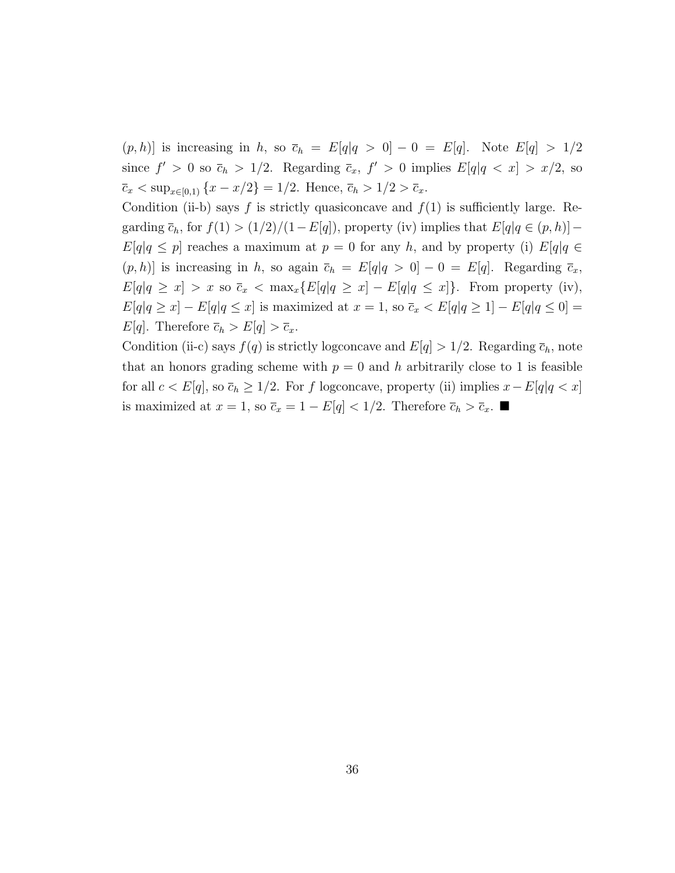$(p, h)$  is increasing in h, so  $\overline{c}_h = E[q]q > 0] - 0 = E[q]$ . Note  $E[q] > 1/2$ since  $f' > 0$  so  $\bar{c}_h > 1/2$ . Regarding  $\bar{c}_x$ ,  $f' > 0$  implies  $E[q|q < x] > x/2$ , so  $\bar{c}_x < \sup_{x \in [0,1)} \{x - x/2\} = 1/2$ . Hence,  $\bar{c}_h > 1/2 > \bar{c}_x$ .

Condition (ii-b) says f is strictly quasiconcave and  $f(1)$  is sufficiently large. Regarding  $\overline{c}_h$ , for  $f(1) > (1/2)/(1-E[q])$ , property (iv) implies that  $E[q|q \in (p,h)]$  $E[q|q \leq p]$  reaches a maximum at  $p = 0$  for any h, and by property (i)  $E[q|q \in$  $(p, h)$  is increasing in h, so again  $\bar{c}_h = E[q]q > 0] - 0 = E[q]$ . Regarding  $\bar{c}_x$ ,  $E[q|q \ge x] > x$  so  $\bar{c}_x < \max_x \{E[q|q \ge x] - E[q|q \le x]\}.$  From property (iv),  $E[q|q \ge x] - E[q|q \le x]$  is maximized at  $x = 1$ , so  $\overline{c}_x < E[q|q \ge 1] - E[q|q \le 0] =$  $E[q]$ . Therefore  $\overline{c}_h > E[q] > \overline{c}_x$ .

Condition (ii-c) says  $f(q)$  is strictly logconcave and  $E[q] > 1/2$ . Regarding  $\overline{c}_h$ , note that an honors grading scheme with  $p = 0$  and h arbitrarily close to 1 is feasible for all  $c < E[q]$ , so  $\bar{c}_h \geq 1/2$ . For f logconcave, property (ii) implies  $x - E[q]q < x$ is maximized at  $x = 1$ , so  $\overline{c}_x = 1 - E[q] < 1/2$ . Therefore  $\overline{c}_h > \overline{c}_x$ . ■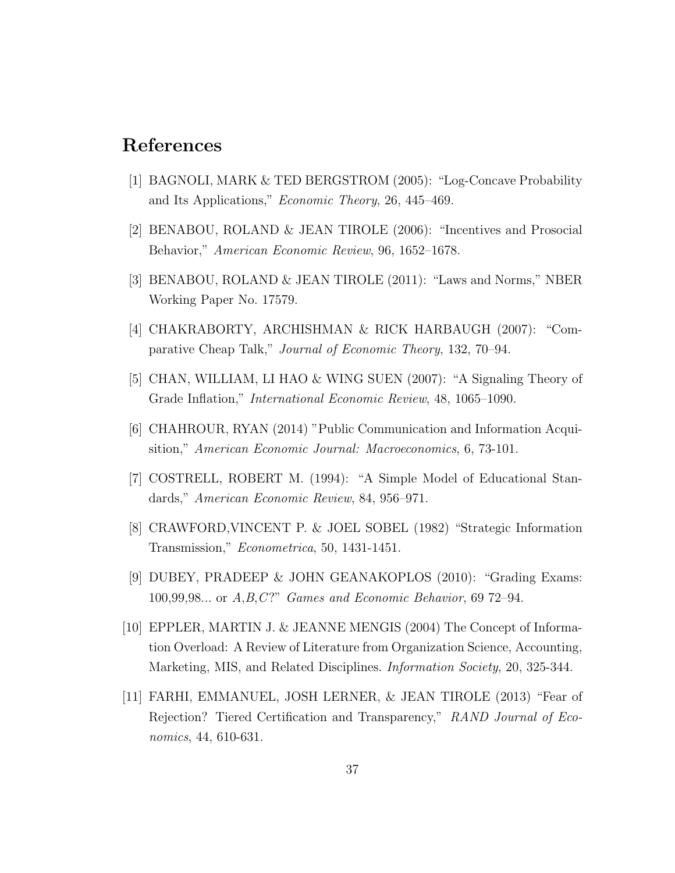## References

- [1] BAGNOLI, MARK & TED BERGSTROM (2005): "Log-Concave Probability and Its Applications," Economic Theory, 26, 445–469.
- [2] BENABOU, ROLAND & JEAN TIROLE (2006): "Incentives and Prosocial Behavior," American Economic Review, 96, 1652–1678.
- [3] BENABOU, ROLAND & JEAN TIROLE (2011): "Laws and Norms," NBER Working Paper No. 17579.
- [4] CHAKRABORTY, ARCHISHMAN & RICK HARBAUGH (2007): "Comparative Cheap Talk," Journal of Economic Theory, 132, 70–94.
- [5] CHAN, WILLIAM, LI HAO & WING SUEN (2007): "A Signaling Theory of Grade Inflation," International Economic Review, 48, 1065–1090.
- [6] CHAHROUR, RYAN (2014) "Public Communication and Information Acquisition," American Economic Journal: Macroeconomics, 6, 73-101.
- [7] COSTRELL, ROBERT M. (1994): "A Simple Model of Educational Standards," American Economic Review, 84, 956–971.
- [8] CRAWFORD,VINCENT P. & JOEL SOBEL (1982) "Strategic Information Transmission," Econometrica, 50, 1431-1451.
- [9] DUBEY, PRADEEP & JOHN GEANAKOPLOS (2010): "Grading Exams: 100,99,98... or A,B,C ?" Games and Economic Behavior, 69 72–94.
- [10] EPPLER, MARTIN J. & JEANNE MENGIS (2004) The Concept of Information Overload: A Review of Literature from Organization Science, Accounting, Marketing, MIS, and Related Disciplines. *Information Society*, 20, 325-344.
- [11] FARHI, EMMANUEL, JOSH LERNER, & JEAN TIROLE (2013) "Fear of Rejection? Tiered Certification and Transparency," RAND Journal of Economics, 44, 610-631.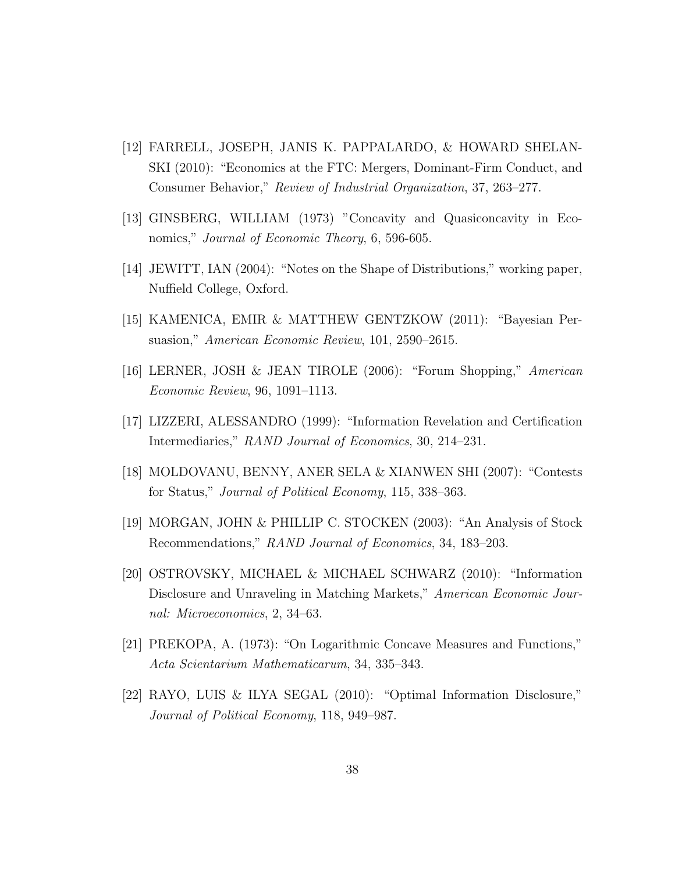- [12] FARRELL, JOSEPH, JANIS K. PAPPALARDO, & HOWARD SHELAN-SKI (2010): "Economics at the FTC: Mergers, Dominant-Firm Conduct, and Consumer Behavior," Review of Industrial Organization, 37, 263–277.
- [13] GINSBERG, WILLIAM (1973) "Concavity and Quasiconcavity in Economics," *Journal of Economic Theory*, 6, 596-605.
- [14] JEWITT, IAN (2004): "Notes on the Shape of Distributions," working paper, Nuffield College, Oxford.
- [15] KAMENICA, EMIR & MATTHEW GENTZKOW (2011): "Bayesian Persuasion," American Economic Review, 101, 2590–2615.
- [16] LERNER, JOSH & JEAN TIROLE (2006): "Forum Shopping," American Economic Review, 96, 1091–1113.
- [17] LIZZERI, ALESSANDRO (1999): "Information Revelation and Certification Intermediaries," RAND Journal of Economics, 30, 214–231.
- [18] MOLDOVANU, BENNY, ANER SELA & XIANWEN SHI (2007): "Contests for Status," Journal of Political Economy, 115, 338–363.
- [19] MORGAN, JOHN & PHILLIP C. STOCKEN (2003): "An Analysis of Stock Recommendations," RAND Journal of Economics, 34, 183–203.
- [20] OSTROVSKY, MICHAEL & MICHAEL SCHWARZ (2010): "Information Disclosure and Unraveling in Matching Markets," American Economic Journal: Microeconomics, 2, 34–63.
- [21] PREKOPA, A. (1973): "On Logarithmic Concave Measures and Functions," Acta Scientarium Mathematicarum, 34, 335–343.
- [22] RAYO, LUIS & ILYA SEGAL (2010): "Optimal Information Disclosure," Journal of Political Economy, 118, 949–987.